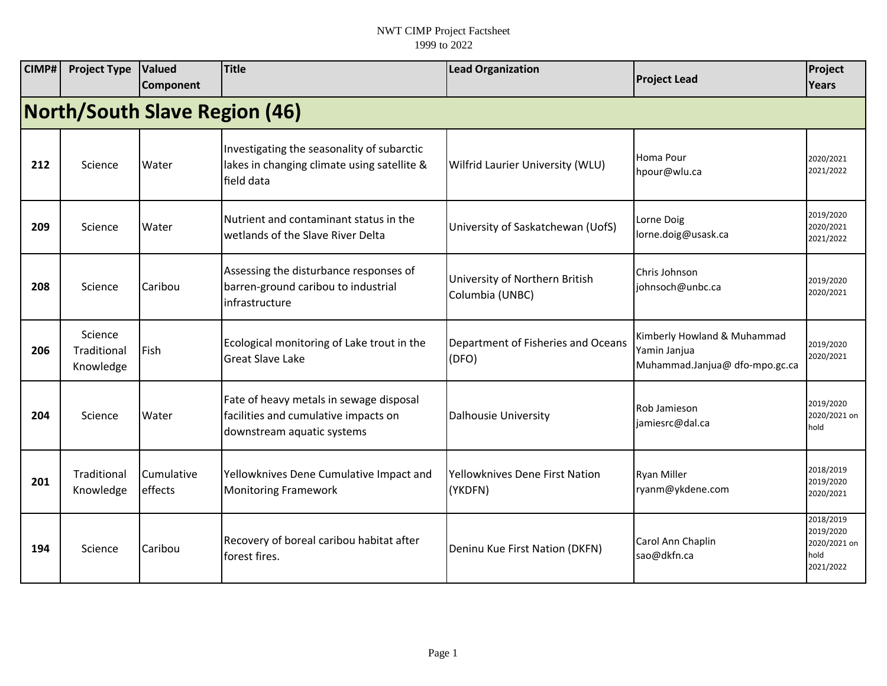| CIMP# | <b>Project Type</b>                  | <b>Valued</b><br>Component | <b>Title</b>                                                                                                  | <b>Lead Organization</b>                          | <b>Project Lead</b>                                                           | Project<br>Years                                            |  |  |  |  |
|-------|--------------------------------------|----------------------------|---------------------------------------------------------------------------------------------------------------|---------------------------------------------------|-------------------------------------------------------------------------------|-------------------------------------------------------------|--|--|--|--|
|       | <b>North/South Slave Region (46)</b> |                            |                                                                                                               |                                                   |                                                                               |                                                             |  |  |  |  |
| 212   | Science                              | Water                      | Investigating the seasonality of subarctic<br>lakes in changing climate using satellite &<br>field data       | Wilfrid Laurier University (WLU)                  | Homa Pour<br>hpour@wlu.ca                                                     | 2020/2021<br>2021/2022                                      |  |  |  |  |
| 209   | Science                              | Water                      | Nutrient and contaminant status in the<br>wetlands of the Slave River Delta                                   | University of Saskatchewan (UofS)                 | Lorne Doig<br>lorne.doig@usask.ca                                             | 2019/2020<br>2020/2021<br>2021/2022                         |  |  |  |  |
| 208   | Science                              | Caribou                    | Assessing the disturbance responses of<br>barren-ground caribou to industrial<br>infrastructure               | University of Northern British<br>Columbia (UNBC) | Chris Johnson<br>johnsoch@unbc.ca                                             | 2019/2020<br>2020/2021                                      |  |  |  |  |
| 206   | Science<br>Traditional<br>Knowledge  | Fish                       | Ecological monitoring of Lake trout in the<br><b>Great Slave Lake</b>                                         | Department of Fisheries and Oceans<br>(DFO)       | Kimberly Howland & Muhammad<br>Yamin Janjua<br>Muhammad.Janjua@ dfo-mpo.gc.ca | 2019/2020<br>2020/2021                                      |  |  |  |  |
| 204   | Science                              | Water                      | Fate of heavy metals in sewage disposal<br>facilities and cumulative impacts on<br>downstream aquatic systems | Dalhousie University                              | Rob Jamieson<br>jamiesrc@dal.ca                                               | 2019/2020<br>2020/2021 on<br>hold                           |  |  |  |  |
| 201   | Traditional<br>Knowledge             | Cumulative<br>effects      | Yellowknives Dene Cumulative Impact and<br><b>Monitoring Framework</b>                                        | Yellowknives Dene First Nation<br>(YKDFN)         | Ryan Miller<br>ryanm@ykdene.com                                               | 2018/2019<br>2019/2020<br>2020/2021                         |  |  |  |  |
| 194   | Science                              | Caribou                    | Recovery of boreal caribou habitat after<br>forest fires.                                                     | Deninu Kue First Nation (DKFN)                    | Carol Ann Chaplin<br>sao@dkfn.ca                                              | 2018/2019<br>2019/2020<br>2020/2021 on<br>hold<br>2021/2022 |  |  |  |  |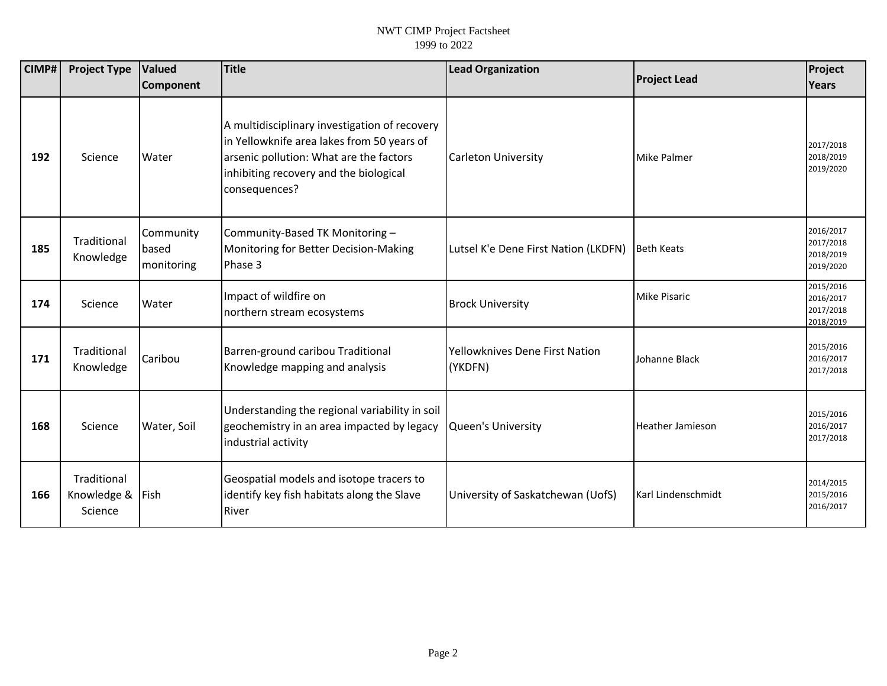| CIMP# | <b>Project Type</b>                   | Valued<br>Component              | <b>Title</b>                                                                                                                                                                                      | <b>Lead Organization</b>                  | <b>Project Lead</b>     | Project<br><b>Years</b>                          |
|-------|---------------------------------------|----------------------------------|---------------------------------------------------------------------------------------------------------------------------------------------------------------------------------------------------|-------------------------------------------|-------------------------|--------------------------------------------------|
| 192   | Science                               | Water                            | A multidisciplinary investigation of recovery<br>in Yellowknife area lakes from 50 years of<br>arsenic pollution: What are the factors<br>inhibiting recovery and the biological<br>consequences? | <b>Carleton University</b>                | <b>Mike Palmer</b>      | 2017/2018<br>2018/2019<br>2019/2020              |
| 185   | Traditional<br>Knowledge              | Community<br>based<br>monitoring | Community-Based TK Monitoring-<br>Monitoring for Better Decision-Making<br>Phase 3                                                                                                                | Lutsel K'e Dene First Nation (LKDFN)      | <b>Beth Keats</b>       | 2016/2017<br>2017/2018<br>2018/2019<br>2019/2020 |
| 174   | Science                               | Water                            | Impact of wildfire on<br>northern stream ecosystems                                                                                                                                               | <b>Brock University</b>                   | <b>Mike Pisaric</b>     | 2015/2016<br>2016/2017<br>2017/2018<br>2018/2019 |
| 171   | Traditional<br>Knowledge              | Caribou                          | Barren-ground caribou Traditional<br>Knowledge mapping and analysis                                                                                                                               | Yellowknives Dene First Nation<br>(YKDFN) | Johanne Black           | 2015/2016<br>2016/2017<br>2017/2018              |
| 168   | Science                               | Water, Soil                      | Understanding the regional variability in soil<br>geochemistry in an area impacted by legacy<br>industrial activity                                                                               | <b>Queen's University</b>                 | <b>Heather Jamieson</b> | 2015/2016<br>2016/2017<br>2017/2018              |
| 166   | Traditional<br>Knowledge &<br>Science | Fish                             | Geospatial models and isotope tracers to<br>identify key fish habitats along the Slave<br>River                                                                                                   | University of Saskatchewan (UofS)         | Karl Lindenschmidt      | 2014/2015<br>2015/2016<br>2016/2017              |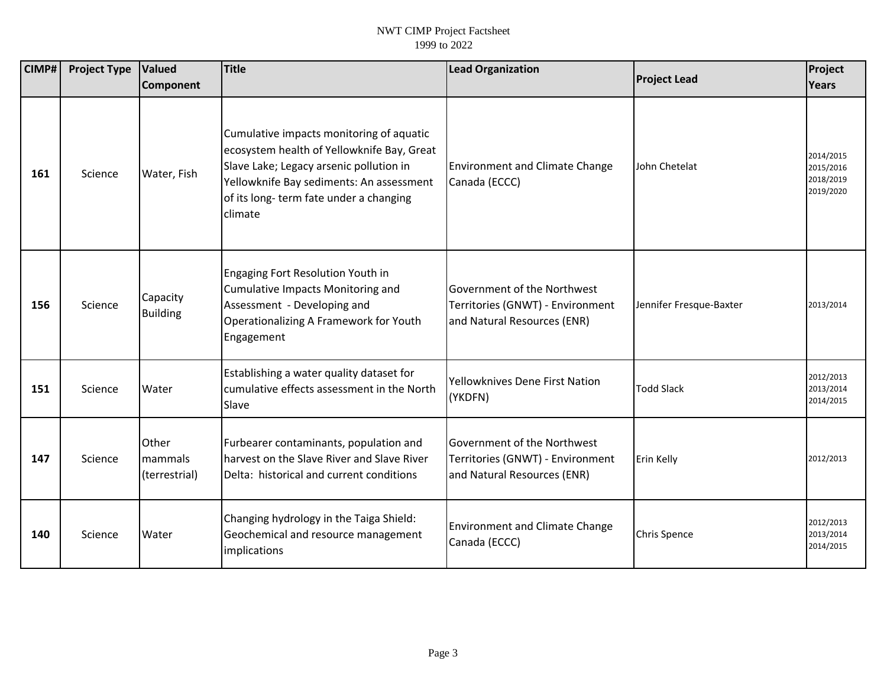| CIMP# | <b>Project Type</b> | Valued                            | <b>Title</b>                                                                                                                                                                                                                       | <b>Lead Organization</b>                                                                       | <b>Project Lead</b>     | Project                                          |
|-------|---------------------|-----------------------------------|------------------------------------------------------------------------------------------------------------------------------------------------------------------------------------------------------------------------------------|------------------------------------------------------------------------------------------------|-------------------------|--------------------------------------------------|
|       |                     | Component                         |                                                                                                                                                                                                                                    |                                                                                                |                         | <b>Years</b>                                     |
| 161   | Science             | Water, Fish                       | Cumulative impacts monitoring of aquatic<br>ecosystem health of Yellowknife Bay, Great<br>Slave Lake; Legacy arsenic pollution in<br>Yellowknife Bay sediments: An assessment<br>of its long-term fate under a changing<br>climate | <b>Environment and Climate Change</b><br>Canada (ECCC)                                         | John Chetelat           | 2014/2015<br>2015/2016<br>2018/2019<br>2019/2020 |
| 156   | Science             | Capacity<br><b>Building</b>       | Engaging Fort Resolution Youth in<br><b>Cumulative Impacts Monitoring and</b><br>Assessment - Developing and<br>Operationalizing A Framework for Youth<br>Engagement                                                               | Government of the Northwest<br>Territories (GNWT) - Environment<br>and Natural Resources (ENR) | Jennifer Fresque-Baxter | 2013/2014                                        |
| 151   | Science             | Water                             | Establishing a water quality dataset for<br>cumulative effects assessment in the North<br>Slave                                                                                                                                    | Yellowknives Dene First Nation<br>(YKDFN)                                                      | <b>Todd Slack</b>       | 2012/2013<br>2013/2014<br>2014/2015              |
| 147   | Science             | Other<br>mammals<br>(terrestrial) | Furbearer contaminants, population and<br>harvest on the Slave River and Slave River<br>Delta: historical and current conditions                                                                                                   | Government of the Northwest<br>Territories (GNWT) - Environment<br>and Natural Resources (ENR) | Erin Kelly              | 2012/2013                                        |
| 140   | Science             | Water                             | Changing hydrology in the Taiga Shield:<br>Geochemical and resource management<br>implications                                                                                                                                     | <b>Environment and Climate Change</b><br>Canada (ECCC)                                         | Chris Spence            | 2012/2013<br>2013/2014<br>2014/2015              |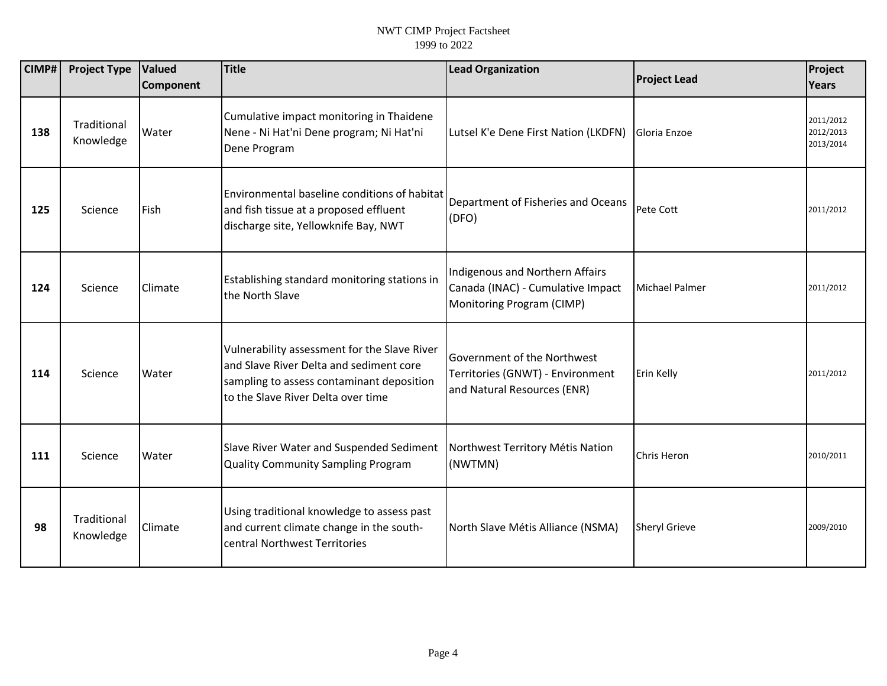| CIMP# | <b>Project Type</b>      | Valued<br><b>Component</b> | <b>Title</b>                                                                                                                                                               | <b>Lead Organization</b>                                                                          | <b>Project Lead</b>   | Project<br>Years                    |
|-------|--------------------------|----------------------------|----------------------------------------------------------------------------------------------------------------------------------------------------------------------------|---------------------------------------------------------------------------------------------------|-----------------------|-------------------------------------|
| 138   | Traditional<br>Knowledge | Water                      | Cumulative impact monitoring in Thaidene<br>Nene - Ni Hat'ni Dene program; Ni Hat'ni<br>Dene Program                                                                       | Lutsel K'e Dene First Nation (LKDFN)                                                              | Gloria Enzoe          | 2011/2012<br>2012/2013<br>2013/2014 |
| 125   | Science                  | Fish                       | Environmental baseline conditions of habitat<br>and fish tissue at a proposed effluent<br>discharge site, Yellowknife Bay, NWT                                             | Department of Fisheries and Oceans<br>(DFO)                                                       | Pete Cott             | 2011/2012                           |
| 124   | Science                  | Climate                    | Establishing standard monitoring stations in<br>the North Slave                                                                                                            | Indigenous and Northern Affairs<br>Canada (INAC) - Cumulative Impact<br>Monitoring Program (CIMP) | <b>Michael Palmer</b> | 2011/2012                           |
| 114   | Science                  | Water                      | Vulnerability assessment for the Slave River<br>and Slave River Delta and sediment core<br>sampling to assess contaminant deposition<br>to the Slave River Delta over time | Government of the Northwest<br>Territories (GNWT) - Environment<br>and Natural Resources (ENR)    | Erin Kelly            | 2011/2012                           |
| 111   | Science                  | Water                      | Slave River Water and Suspended Sediment<br><b>Quality Community Sampling Program</b>                                                                                      | Northwest Territory Métis Nation<br>(NWTMN)                                                       | <b>Chris Heron</b>    | 2010/2011                           |
| 98    | Traditional<br>Knowledge | Climate                    | Using traditional knowledge to assess past<br>and current climate change in the south-<br>central Northwest Territories                                                    | North Slave Métis Alliance (NSMA)                                                                 | <b>Sheryl Grieve</b>  | 2009/2010                           |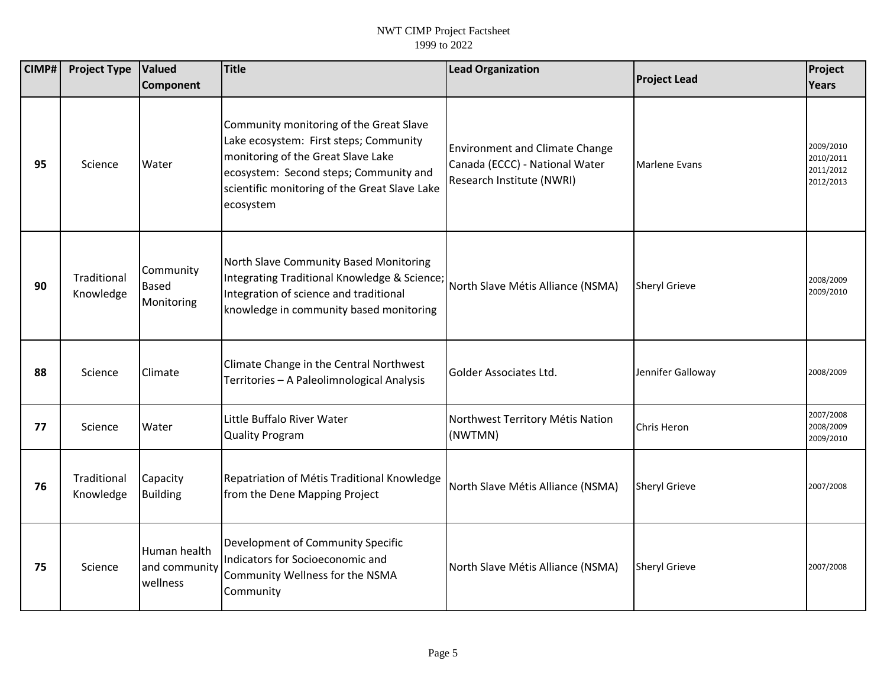| CIMP# | <b>Project Type</b>      | <b>Valued</b>                             | <b>Title</b>                                                                                                                                                                                                                    | <b>Lead Organization</b>                                                                             | <b>Project Lead</b>  | Project                                          |
|-------|--------------------------|-------------------------------------------|---------------------------------------------------------------------------------------------------------------------------------------------------------------------------------------------------------------------------------|------------------------------------------------------------------------------------------------------|----------------------|--------------------------------------------------|
|       |                          | Component                                 |                                                                                                                                                                                                                                 |                                                                                                      |                      | <b>Years</b>                                     |
| 95    | Science                  | Water                                     | Community monitoring of the Great Slave<br>Lake ecosystem: First steps; Community<br>monitoring of the Great Slave Lake<br>ecosystem: Second steps; Community and<br>scientific monitoring of the Great Slave Lake<br>ecosystem | <b>Environment and Climate Change</b><br>Canada (ECCC) - National Water<br>Research Institute (NWRI) | <b>Marlene Evans</b> | 2009/2010<br>2010/2011<br>2011/2012<br>2012/2013 |
| 90    | Traditional<br>Knowledge | Community<br><b>Based</b><br>Monitoring   | North Slave Community Based Monitoring<br>Integrating Traditional Knowledge & Science;<br>Integration of science and traditional<br>knowledge in community based monitoring                                                     | North Slave Métis Alliance (NSMA)                                                                    | <b>Sheryl Grieve</b> | 2008/2009<br>2009/2010                           |
| 88    | Science                  | Climate                                   | Climate Change in the Central Northwest<br>Territories - A Paleolimnological Analysis                                                                                                                                           | Golder Associates Ltd.                                                                               | Jennifer Galloway    | 2008/2009                                        |
| 77    | Science                  | Water                                     | Little Buffalo River Water<br><b>Quality Program</b>                                                                                                                                                                            | Northwest Territory Métis Nation<br>(NWTMN)                                                          | <b>Chris Heron</b>   | 2007/2008<br>2008/2009<br>2009/2010              |
| 76    | Traditional<br>Knowledge | Capacity<br><b>Building</b>               | Repatriation of Métis Traditional Knowledge<br>from the Dene Mapping Project                                                                                                                                                    | North Slave Métis Alliance (NSMA)                                                                    | <b>Sheryl Grieve</b> | 2007/2008                                        |
| 75    | Science                  | Human health<br>and community<br>wellness | Development of Community Specific<br>Indicators for Socioeconomic and<br>Community Wellness for the NSMA<br>Community                                                                                                           | North Slave Métis Alliance (NSMA)                                                                    | <b>Sheryl Grieve</b> | 2007/2008                                        |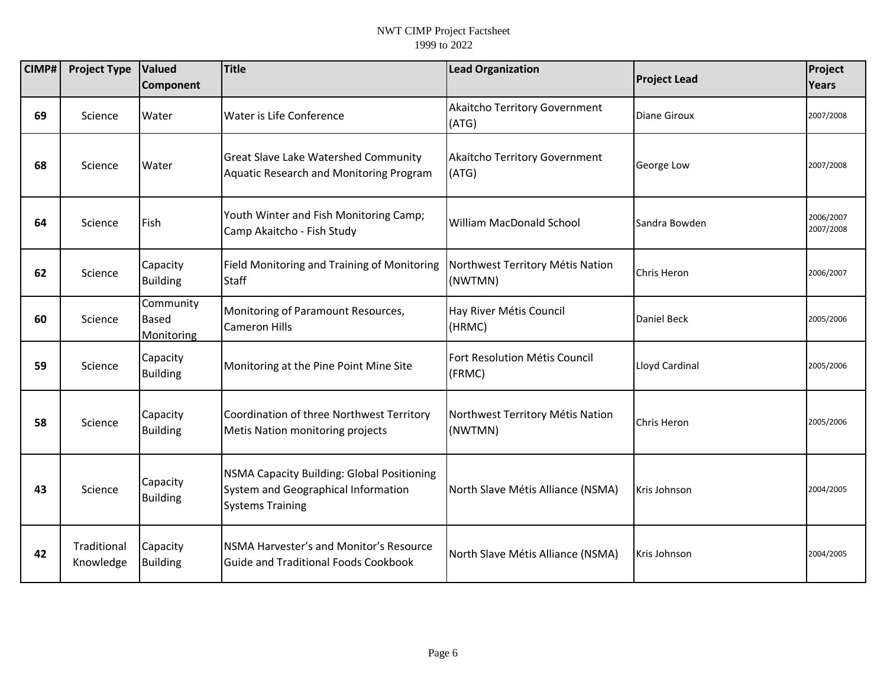| CIMP# | <b>Project Type</b>      | Valued<br><b>Component</b>              | <b>Title</b>                                                                                                 | <b>Lead Organization</b>                    | <b>Project Lead</b> | Project<br><b>Years</b> |
|-------|--------------------------|-----------------------------------------|--------------------------------------------------------------------------------------------------------------|---------------------------------------------|---------------------|-------------------------|
| 69    | Science                  | Water                                   | Water is Life Conference                                                                                     | Akaitcho Territory Government<br>(ATG)      | <b>Diane Giroux</b> | 2007/2008               |
| 68    | Science                  | Water                                   | <b>Great Slave Lake Watershed Community</b><br>Aquatic Research and Monitoring Program                       | Akaitcho Territory Government<br>(ATG)      | George Low          | 2007/2008               |
| 64    | Science                  | Fish                                    | Youth Winter and Fish Monitoring Camp;<br>Camp Akaitcho - Fish Study                                         | <b>William MacDonald School</b>             | Sandra Bowden       | 2006/2007<br>2007/2008  |
| 62    | Science                  | Capacity<br><b>Building</b>             | Field Monitoring and Training of Monitoring<br><b>Staff</b>                                                  | Northwest Territory Métis Nation<br>(NWTMN) | <b>Chris Heron</b>  | 2006/2007               |
| 60    | Science                  | Community<br><b>Based</b><br>Monitoring | Monitoring of Paramount Resources,<br><b>Cameron Hills</b>                                                   | Hay River Métis Council<br>(HRMC)           | <b>Daniel Beck</b>  | 2005/2006               |
| 59    | Science                  | Capacity<br><b>Building</b>             | Monitoring at the Pine Point Mine Site                                                                       | Fort Resolution Métis Council<br>(FRMC)     | Lloyd Cardinal      | 2005/2006               |
| 58    | Science                  | Capacity<br><b>Building</b>             | Coordination of three Northwest Territory<br><b>Metis Nation monitoring projects</b>                         | Northwest Territory Métis Nation<br>(NWTMN) | Chris Heron         | 2005/2006               |
| 43    | Science                  | Capacity<br><b>Building</b>             | NSMA Capacity Building: Global Positioning<br>System and Geographical Information<br><b>Systems Training</b> | North Slave Métis Alliance (NSMA)           | Kris Johnson        | 2004/2005               |
| 42    | Traditional<br>Knowledge | Capacity<br><b>Building</b>             | <b>INSMA Harvester's and Monitor's Resource</b><br>Guide and Traditional Foods Cookbook                      | North Slave Métis Alliance (NSMA)           | Kris Johnson        | 2004/2005               |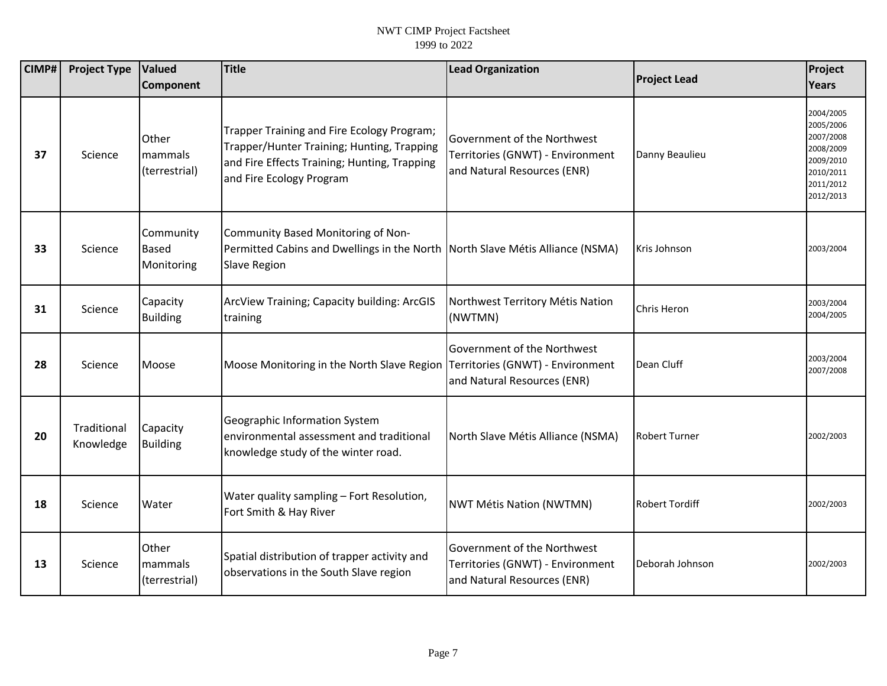| CIMP# | <b>Project Type</b>      | Valued                                  | <b>Title</b>                                                                                                                                                         | <b>Lead Organization</b>                                                                       | <b>Project Lead</b>   | Project                                                                                              |
|-------|--------------------------|-----------------------------------------|----------------------------------------------------------------------------------------------------------------------------------------------------------------------|------------------------------------------------------------------------------------------------|-----------------------|------------------------------------------------------------------------------------------------------|
|       |                          | Component                               |                                                                                                                                                                      |                                                                                                |                       | Years                                                                                                |
| 37    | Science                  | Other<br>mammals<br>(terrestrial)       | Trapper Training and Fire Ecology Program;<br>Trapper/Hunter Training; Hunting, Trapping<br>and Fire Effects Training; Hunting, Trapping<br>and Fire Ecology Program | Government of the Northwest<br>Territories (GNWT) - Environment<br>and Natural Resources (ENR) | Danny Beaulieu        | 2004/2005<br>2005/2006<br>2007/2008<br>2008/2009<br>2009/2010<br>2010/2011<br>2011/2012<br>2012/2013 |
| 33    | Science                  | Community<br><b>Based</b><br>Monitoring | Community Based Monitoring of Non-<br>Permitted Cabins and Dwellings in the North   North Slave Métis Alliance (NSMA)<br><b>Slave Region</b>                         |                                                                                                | Kris Johnson          | 2003/2004                                                                                            |
| 31    | Science                  | Capacity<br><b>Building</b>             | ArcView Training; Capacity building: ArcGIS<br>training                                                                                                              | Northwest Territory Métis Nation<br>(NWTMN)                                                    | Chris Heron           | 2003/2004<br>2004/2005                                                                               |
| 28    | Science                  | Moose                                   | Moose Monitoring in the North Slave Region Territories (GNWT) - Environment                                                                                          | Government of the Northwest<br>and Natural Resources (ENR)                                     | Dean Cluff            | 2003/2004<br>2007/2008                                                                               |
| 20    | Traditional<br>Knowledge | Capacity<br><b>Building</b>             | Geographic Information System<br>environmental assessment and traditional<br>knowledge study of the winter road.                                                     | North Slave Métis Alliance (NSMA)                                                              | <b>Robert Turner</b>  | 2002/2003                                                                                            |
| 18    | Science                  | Water                                   | Water quality sampling - Fort Resolution,<br>Fort Smith & Hay River                                                                                                  | NWT Métis Nation (NWTMN)                                                                       | <b>Robert Tordiff</b> | 2002/2003                                                                                            |
| 13    | Science                  | Other<br>mammals<br>(terrestrial)       | Spatial distribution of trapper activity and<br>observations in the South Slave region                                                                               | Government of the Northwest<br>Territories (GNWT) - Environment<br>and Natural Resources (ENR) | Deborah Johnson       | 2002/2003                                                                                            |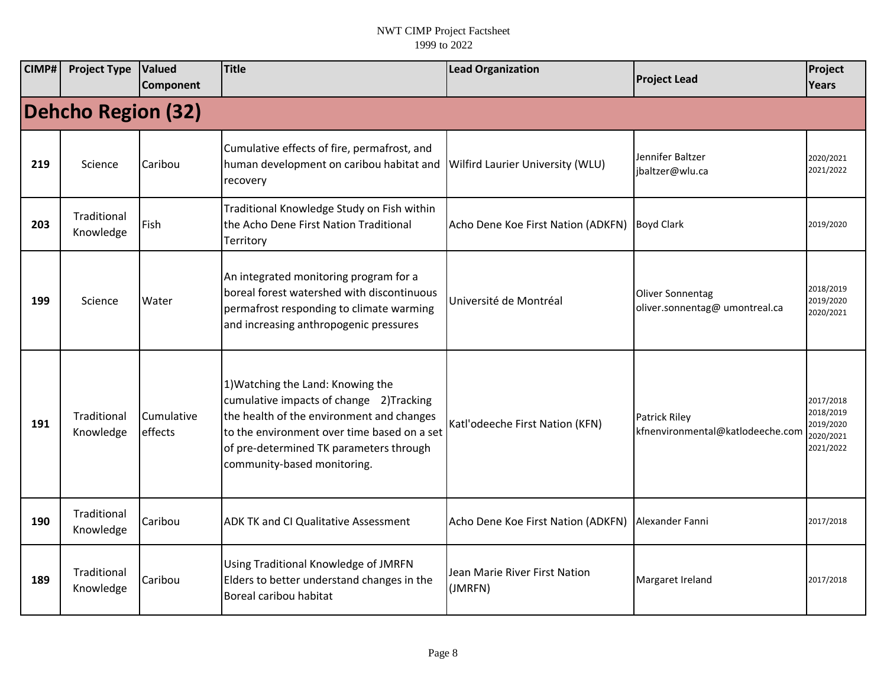| CIMP# | <b>Project Type</b>       | Valued<br><b>Component</b> | <b>Title</b>                                                                                                                                                                                                                                       | <b>Lead Organization</b>                 | <b>Project Lead</b>                                       | Project<br><b>Years</b>                                       |  |  |  |  |
|-------|---------------------------|----------------------------|----------------------------------------------------------------------------------------------------------------------------------------------------------------------------------------------------------------------------------------------------|------------------------------------------|-----------------------------------------------------------|---------------------------------------------------------------|--|--|--|--|
|       | <b>Dehcho Region (32)</b> |                            |                                                                                                                                                                                                                                                    |                                          |                                                           |                                                               |  |  |  |  |
| 219   | Science                   | Caribou                    | Cumulative effects of fire, permafrost, and<br>human development on caribou habitat and<br>recovery                                                                                                                                                | Wilfird Laurier University (WLU)         | Jennifer Baltzer<br>jbaltzer@wlu.ca                       | 2020/2021<br>2021/2022                                        |  |  |  |  |
| 203   | Traditional<br>Knowledge  | Fish                       | Traditional Knowledge Study on Fish within<br>the Acho Dene First Nation Traditional<br>Territory                                                                                                                                                  | Acho Dene Koe First Nation (ADKFN)       | <b>Boyd Clark</b>                                         | 2019/2020                                                     |  |  |  |  |
| 199   | Science                   | Water                      | An integrated monitoring program for a<br>boreal forest watershed with discontinuous<br>permafrost responding to climate warming<br>and increasing anthropogenic pressures                                                                         | Université de Montréal                   | <b>Oliver Sonnentag</b><br>oliver.sonnentag@ umontreal.ca | 2018/2019<br>2019/2020<br>2020/2021                           |  |  |  |  |
| 191   | Traditional<br>Knowledge  | Cumulative<br>effects      | 1) Watching the Land: Knowing the<br>cumulative impacts of change 2)Tracking<br>the health of the environment and changes<br>to the environment over time based on a set<br>of pre-determined TK parameters through<br>community-based monitoring. | Katl'odeeche First Nation (KFN)          | <b>Patrick Riley</b><br>kfnenvironmental@katlodeeche.com  | 2017/2018<br>2018/2019<br>2019/2020<br>2020/2021<br>2021/2022 |  |  |  |  |
| 190   | Traditional<br>Knowledge  | Caribou                    | <b>ADK TK and CI Qualitative Assessment</b>                                                                                                                                                                                                        | Acho Dene Koe First Nation (ADKFN)       | Alexander Fanni                                           | 2017/2018                                                     |  |  |  |  |
| 189   | Traditional<br>Knowledge  | Caribou                    | Using Traditional Knowledge of JMRFN<br>Elders to better understand changes in the<br>Boreal caribou habitat                                                                                                                                       | Jean Marie River First Nation<br>(JMRFN) | Margaret Ireland                                          | 2017/2018                                                     |  |  |  |  |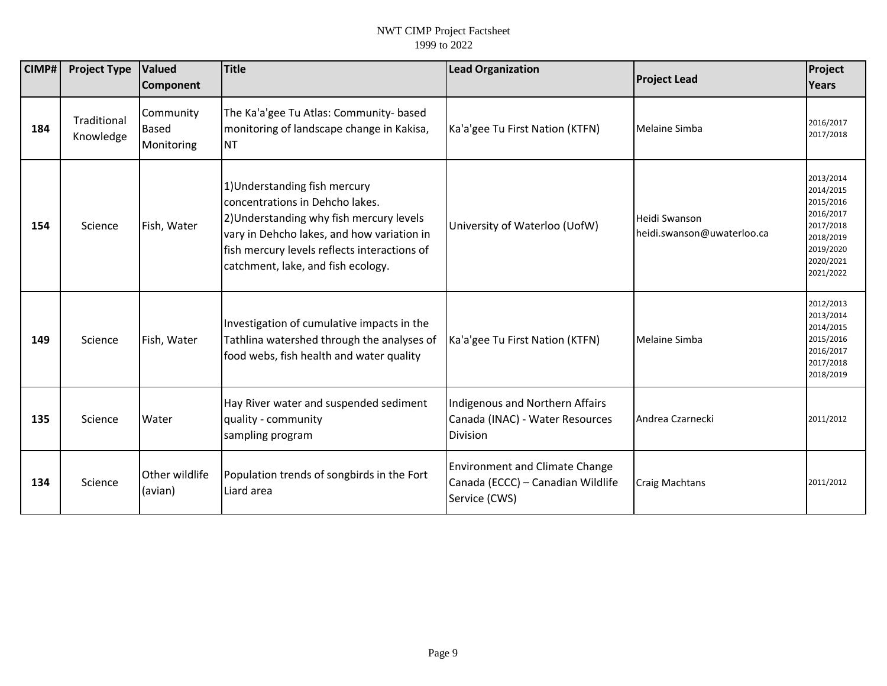| CIMP# | <b>Project Type</b>      | Valued<br><b>Component</b>              | <b>Title</b>                                                                                                                                                                                                                                     | <b>Lead Organization</b>                                                                    | <b>Project Lead</b>                         | Project<br>Years                                                                                                  |
|-------|--------------------------|-----------------------------------------|--------------------------------------------------------------------------------------------------------------------------------------------------------------------------------------------------------------------------------------------------|---------------------------------------------------------------------------------------------|---------------------------------------------|-------------------------------------------------------------------------------------------------------------------|
| 184   | Traditional<br>Knowledge | Community<br><b>Based</b><br>Monitoring | The Ka'a'gee Tu Atlas: Community- based<br>monitoring of landscape change in Kakisa,<br><b>NT</b>                                                                                                                                                | Ka'a'gee Tu First Nation (KTFN)                                                             | Melaine Simba                               | 2016/2017<br>2017/2018                                                                                            |
| 154   | Science                  | Fish, Water                             | 1) Understanding fish mercury<br>concentrations in Dehcho lakes.<br>2) Understanding why fish mercury levels<br>vary in Dehcho lakes, and how variation in<br>fish mercury levels reflects interactions of<br>catchment, lake, and fish ecology. | University of Waterloo (UofW)                                                               | Heidi Swanson<br>heidi.swanson@uwaterloo.ca | 2013/2014<br>2014/2015<br>2015/2016<br>2016/2017<br>2017/2018<br>2018/2019<br>2019/2020<br>2020/2021<br>2021/2022 |
| 149   | Science                  | Fish, Water                             | Investigation of cumulative impacts in the<br>Tathlina watershed through the analyses of<br>food webs, fish health and water quality                                                                                                             | Ka'a'gee Tu First Nation (KTFN)                                                             | Melaine Simba                               | 2012/2013<br>2013/2014<br>2014/2015<br>2015/2016<br>2016/2017<br>2017/2018<br>2018/2019                           |
| 135   | Science                  | Water                                   | Hay River water and suspended sediment<br>quality - community<br>sampling program                                                                                                                                                                | Indigenous and Northern Affairs<br>Canada (INAC) - Water Resources<br>Division              | Andrea Czarnecki                            | 2011/2012                                                                                                         |
| 134   | Science                  | Other wildlife<br>(avian)               | Population trends of songbirds in the Fort<br>Liard area                                                                                                                                                                                         | <b>Environment and Climate Change</b><br>Canada (ECCC) - Canadian Wildlife<br>Service (CWS) | <b>Craig Machtans</b>                       | 2011/2012                                                                                                         |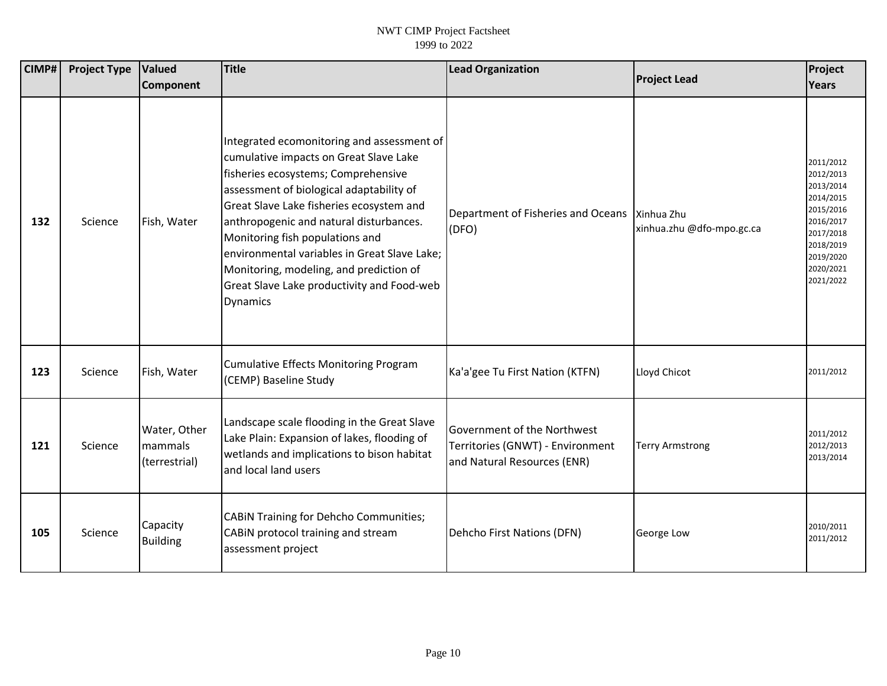| CIMP# | <b>Project Type</b> | Valued                                   | Title                                                                                                                                                                                                                                                                                                                                                                                                                                                         | <b>Lead Organization</b>                                                                              | <b>Project Lead</b>       | Project                                                                                                                                     |
|-------|---------------------|------------------------------------------|---------------------------------------------------------------------------------------------------------------------------------------------------------------------------------------------------------------------------------------------------------------------------------------------------------------------------------------------------------------------------------------------------------------------------------------------------------------|-------------------------------------------------------------------------------------------------------|---------------------------|---------------------------------------------------------------------------------------------------------------------------------------------|
|       |                     | <b>Component</b>                         |                                                                                                                                                                                                                                                                                                                                                                                                                                                               |                                                                                                       |                           | Years                                                                                                                                       |
| 132   | Science             | Fish, Water                              | Integrated ecomonitoring and assessment of<br>cumulative impacts on Great Slave Lake<br>fisheries ecosystems; Comprehensive<br>assessment of biological adaptability of<br>Great Slave Lake fisheries ecosystem and<br>anthropogenic and natural disturbances.<br>Monitoring fish populations and<br>environmental variables in Great Slave Lake;<br>Monitoring, modeling, and prediction of<br>Great Slave Lake productivity and Food-web<br><b>Dynamics</b> | Department of Fisheries and Oceans   Xinhua Zhu<br>(DFO)                                              | xinhua.zhu @dfo-mpo.gc.ca | 2011/2012<br>2012/2013<br>2013/2014<br>2014/2015<br>2015/2016<br>2016/2017<br>2017/2018<br>2018/2019<br>2019/2020<br>2020/2021<br>2021/2022 |
| 123   | Science             | Fish, Water                              | Cumulative Effects Monitoring Program<br>(CEMP) Baseline Study                                                                                                                                                                                                                                                                                                                                                                                                | Ka'a'gee Tu First Nation (KTFN)                                                                       | Lloyd Chicot              | 2011/2012                                                                                                                                   |
| 121   | Science             | Water, Other<br>mammals<br>(terrestrial) | Landscape scale flooding in the Great Slave<br>Lake Plain: Expansion of lakes, flooding of<br>wetlands and implications to bison habitat<br>and local land users                                                                                                                                                                                                                                                                                              | <b>Sovernment of the Northwest</b><br>Territories (GNWT) - Environment<br>and Natural Resources (ENR) | <b>Terry Armstrong</b>    | 2011/2012<br>2012/2013<br>2013/2014                                                                                                         |
| 105   | Science             | Capacity<br><b>Building</b>              | CABIN Training for Dehcho Communities;<br>CABIN protocol training and stream<br>assessment project                                                                                                                                                                                                                                                                                                                                                            | Dehcho First Nations (DFN)                                                                            | George Low                | 2010/2011<br>2011/2012                                                                                                                      |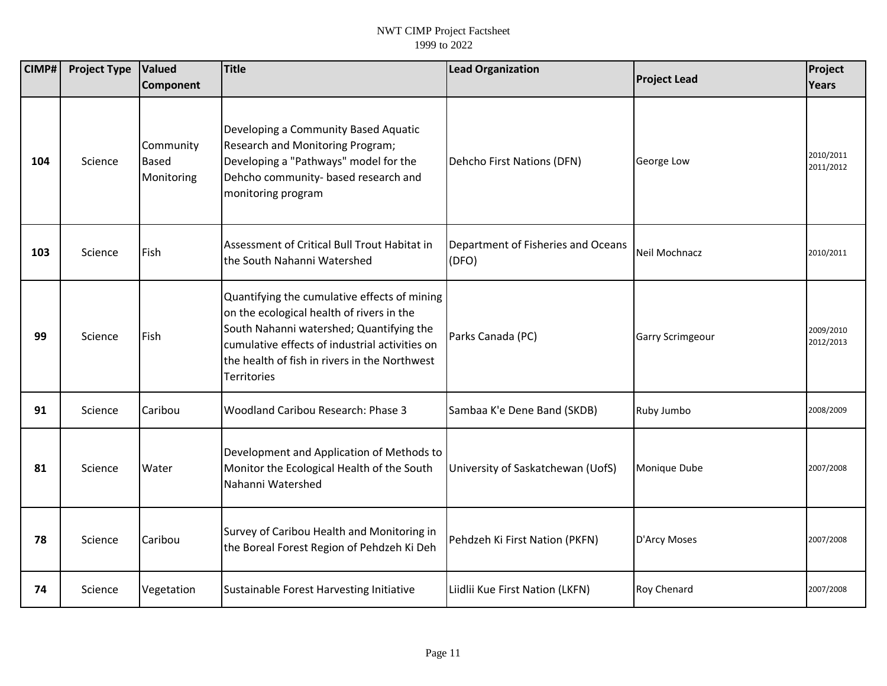| CIMP# | <b>Project Type</b> | <b>Valued</b><br>Component              | Title                                                                                                                                                                                                                                                          | <b>Lead Organization</b>                    | <b>Project Lead</b>     | Project<br><b>Years</b> |
|-------|---------------------|-----------------------------------------|----------------------------------------------------------------------------------------------------------------------------------------------------------------------------------------------------------------------------------------------------------------|---------------------------------------------|-------------------------|-------------------------|
|       |                     |                                         |                                                                                                                                                                                                                                                                |                                             |                         |                         |
| 104   | Science             | Community<br><b>Based</b><br>Monitoring | Developing a Community Based Aquatic<br>Research and Monitoring Program;<br>Developing a "Pathways" model for the<br>Dehcho community- based research and<br>monitoring program                                                                                | Dehcho First Nations (DFN)                  | George Low              | 2010/2011<br>2011/2012  |
| 103   | Science             | Fish                                    | Assessment of Critical Bull Trout Habitat in<br>the South Nahanni Watershed                                                                                                                                                                                    | Department of Fisheries and Oceans<br>(DFO) | Neil Mochnacz           | 2010/2011               |
| 99    | Science             | Fish                                    | Quantifying the cumulative effects of mining<br>on the ecological health of rivers in the<br>South Nahanni watershed; Quantifying the<br>cumulative effects of industrial activities on<br>the health of fish in rivers in the Northwest<br><b>Territories</b> | Parks Canada (PC)                           | <b>Garry Scrimgeour</b> | 2009/2010<br>2012/2013  |
| 91    | Science             | Caribou                                 | Woodland Caribou Research: Phase 3                                                                                                                                                                                                                             | Sambaa K'e Dene Band (SKDB)                 | Ruby Jumbo              | 2008/2009               |
| 81    | Science             | Water                                   | Development and Application of Methods to<br>Monitor the Ecological Health of the South<br>Nahanni Watershed                                                                                                                                                   | University of Saskatchewan (UofS)           | Monique Dube            | 2007/2008               |
| 78    | Science             | Caribou                                 | Survey of Caribou Health and Monitoring in<br>the Boreal Forest Region of Pehdzeh Ki Deh                                                                                                                                                                       | Pehdzeh Ki First Nation (PKFN)              | D'Arcy Moses            | 2007/2008               |
| 74    | Science             | Vegetation                              | Sustainable Forest Harvesting Initiative                                                                                                                                                                                                                       | Liidlii Kue First Nation (LKFN)             | Roy Chenard             | 2007/2008               |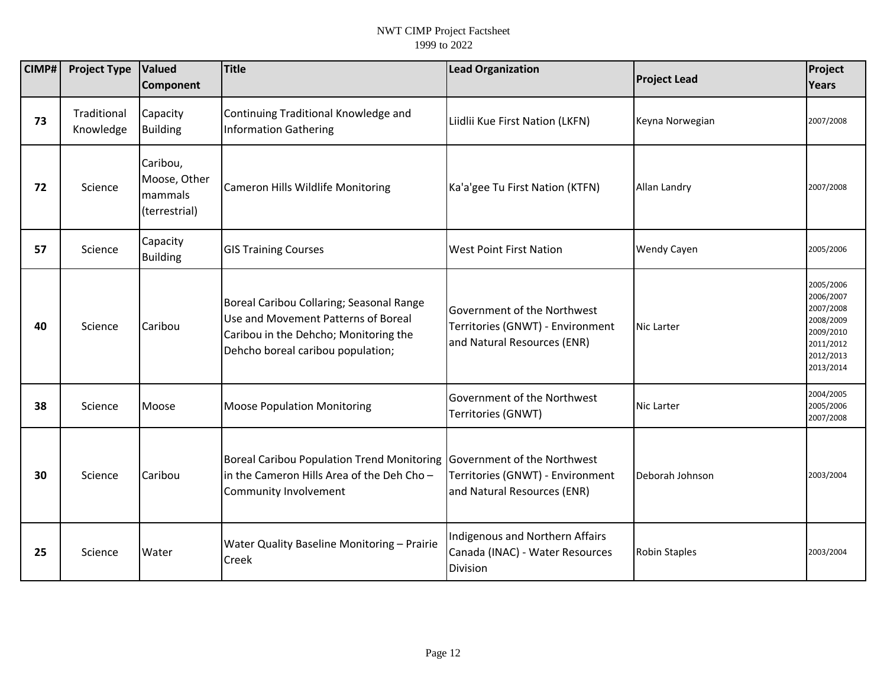| CIMP# | <b>Project Type</b>      | Valued<br>Component                                  | <b>Title</b>                                                                                                                                                  | <b>Lead Organization</b>                                                                       | <b>Project Lead</b>  | Project<br>Years                                                                                     |
|-------|--------------------------|------------------------------------------------------|---------------------------------------------------------------------------------------------------------------------------------------------------------------|------------------------------------------------------------------------------------------------|----------------------|------------------------------------------------------------------------------------------------------|
| 73    | Traditional<br>Knowledge | Capacity<br><b>Building</b>                          | Continuing Traditional Knowledge and<br><b>Information Gathering</b>                                                                                          | Liidlii Kue First Nation (LKFN)                                                                | Keyna Norwegian      | 2007/2008                                                                                            |
| 72    | Science                  | Caribou,<br>Moose, Other<br>mammals<br>(terrestrial) | Cameron Hills Wildlife Monitoring                                                                                                                             | Ka'a'gee Tu First Nation (KTFN)                                                                | Allan Landry         | 2007/2008                                                                                            |
| 57    | Science                  | Capacity<br><b>Building</b>                          | <b>GIS Training Courses</b>                                                                                                                                   | <b>West Point First Nation</b>                                                                 | Wendy Cayen          | 2005/2006                                                                                            |
| 40    | Science                  | Caribou                                              | Boreal Caribou Collaring; Seasonal Range<br>Use and Movement Patterns of Boreal<br>Caribou in the Dehcho; Monitoring the<br>Dehcho boreal caribou population; | Government of the Northwest<br>Territories (GNWT) - Environment<br>and Natural Resources (ENR) | <b>Nic Larter</b>    | 2005/2006<br>2006/2007<br>2007/2008<br>2008/2009<br>2009/2010<br>2011/2012<br>2012/2013<br>2013/2014 |
| 38    | Science                  | Moose                                                | <b>Moose Population Monitoring</b>                                                                                                                            | Government of the Northwest<br>Territories (GNWT)                                              | Nic Larter           | 2004/2005<br>2005/2006<br>2007/2008                                                                  |
| 30    | Science                  | Caribou                                              | <b>Boreal Caribou Population Trend Monitoring</b><br>in the Cameron Hills Area of the Deh Cho-<br>Community Involvement                                       | Government of the Northwest<br>Territories (GNWT) - Environment<br>and Natural Resources (ENR) | Deborah Johnson      | 2003/2004                                                                                            |
| 25    | Science                  | Water                                                | Water Quality Baseline Monitoring - Prairie<br>Creek                                                                                                          | Indigenous and Northern Affairs<br>Canada (INAC) - Water Resources<br>Division                 | <b>Robin Staples</b> | 2003/2004                                                                                            |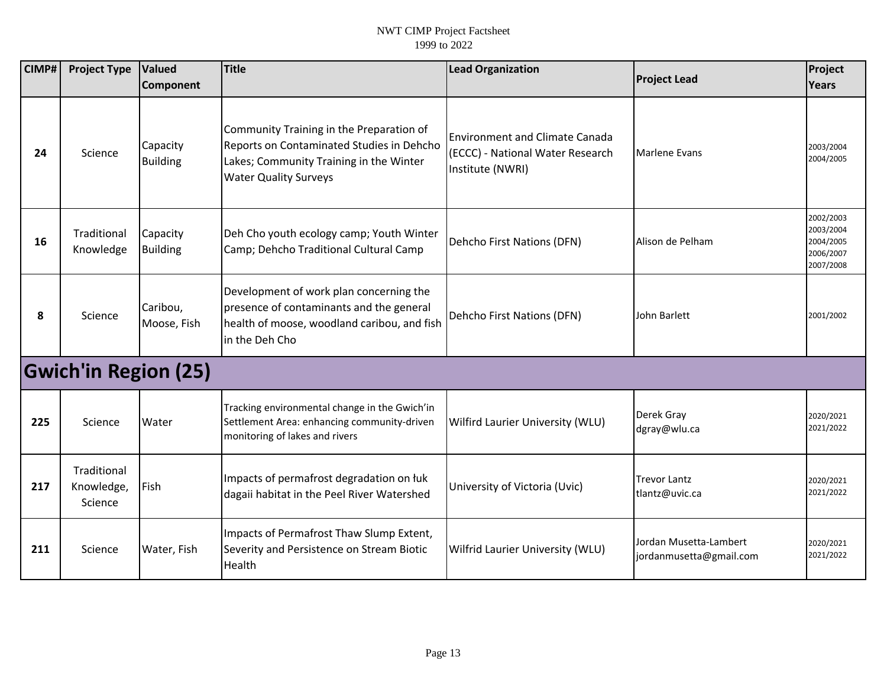| CIMP# | <b>Project Type</b>                  | Valued                      | <b>Title</b>                                                                                                                                                     | <b>Lead Organization</b>                                                                      | <b>Project Lead</b>                               | Project                                                       |
|-------|--------------------------------------|-----------------------------|------------------------------------------------------------------------------------------------------------------------------------------------------------------|-----------------------------------------------------------------------------------------------|---------------------------------------------------|---------------------------------------------------------------|
|       |                                      | <b>Component</b>            |                                                                                                                                                                  |                                                                                               |                                                   | Years                                                         |
| 24    | Science                              | Capacity<br><b>Building</b> | Community Training in the Preparation of<br>Reports on Contaminated Studies in Dehcho<br>Lakes; Community Training in the Winter<br><b>Water Quality Surveys</b> | <b>Environment and Climate Canada</b><br>(ECCC) - National Water Research<br>Institute (NWRI) | <b>Marlene Evans</b>                              | 2003/2004<br>2004/2005                                        |
| 16    | Traditional<br>Knowledge             | Capacity<br><b>Building</b> | Deh Cho youth ecology camp; Youth Winter<br>Camp; Dehcho Traditional Cultural Camp                                                                               | Dehcho First Nations (DFN)                                                                    | Alison de Pelham                                  | 2002/2003<br>2003/2004<br>2004/2005<br>2006/2007<br>2007/2008 |
| 8     | Science                              | Caribou,<br>Moose, Fish     | Development of work plan concerning the<br>presence of contaminants and the general<br>health of moose, woodland caribou, and fish<br>in the Deh Cho             | Dehcho First Nations (DFN)                                                                    | John Barlett                                      | 2001/2002                                                     |
|       | <b>Gwich'in Region (25)</b>          |                             |                                                                                                                                                                  |                                                                                               |                                                   |                                                               |
| 225   | Science                              | Water                       | Tracking environmental change in the Gwich'in<br>Settlement Area: enhancing community-driven<br>monitoring of lakes and rivers                                   | Wilfird Laurier University (WLU)                                                              | Derek Gray<br>dgray@wlu.ca                        | 2020/2021<br>2021/2022                                        |
| 217   | Traditional<br>Knowledge,<br>Science | Fish                        | Impacts of permafrost degradation on łuk<br>dagaii habitat in the Peel River Watershed                                                                           | University of Victoria (Uvic)                                                                 | Trevor Lantz<br>tlantz@uvic.ca                    | 2020/2021<br>2021/2022                                        |
| 211   | Science                              | Water, Fish                 | Impacts of Permafrost Thaw Slump Extent,<br>Severity and Persistence on Stream Biotic<br>Health                                                                  | Wilfrid Laurier University (WLU)                                                              | Jordan Musetta-Lambert<br>jordanmusetta@gmail.com | 2020/2021<br>2021/2022                                        |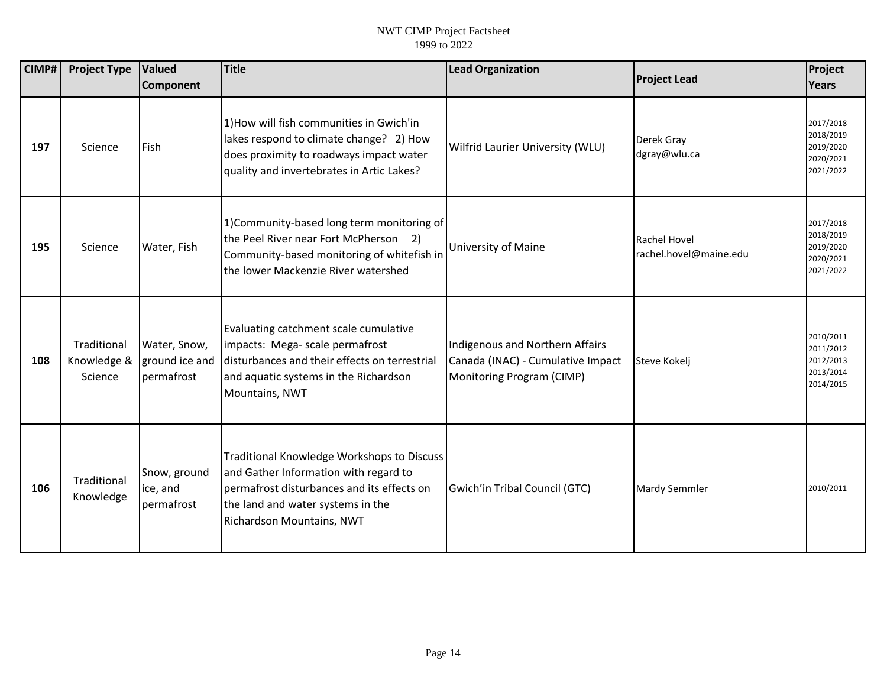| CIMP# | <b>Project Type</b>                   | Valued<br>Component                          | <b>Title</b>                                                                                                                                                                                        | <b>Lead Organization</b>                                                                          | <b>Project Lead</b>                    | Project<br><b>Years</b>                                       |
|-------|---------------------------------------|----------------------------------------------|-----------------------------------------------------------------------------------------------------------------------------------------------------------------------------------------------------|---------------------------------------------------------------------------------------------------|----------------------------------------|---------------------------------------------------------------|
| 197   | Science                               | <b>Fish</b>                                  | 1) How will fish communities in Gwich'in<br>lakes respond to climate change? 2) How<br>does proximity to roadways impact water<br>quality and invertebrates in Artic Lakes?                         | Wilfrid Laurier University (WLU)                                                                  | Derek Gray<br>dgray@wlu.ca             | 2017/2018<br>2018/2019<br>2019/2020<br>2020/2021<br>2021/2022 |
| 195   | Science                               | Water, Fish                                  | 1)Community-based long term monitoring of<br>the Peel River near Fort McPherson 2)<br>Community-based monitoring of whitefish in<br>the lower Mackenzie River watershed                             | University of Maine                                                                               | Rachel Hovel<br>rachel.hovel@maine.edu | 2017/2018<br>2018/2019<br>2019/2020<br>2020/2021<br>2021/2022 |
| 108   | Traditional<br>Knowledge &<br>Science | Water, Snow,<br>ground ice and<br>permafrost | Evaluating catchment scale cumulative<br>impacts: Mega- scale permafrost<br>Idisturbances and their effects on terrestrial<br>and aquatic systems in the Richardson<br>Mountains, NWT               | Indigenous and Northern Affairs<br>Canada (INAC) - Cumulative Impact<br>Monitoring Program (CIMP) | Steve Kokelj                           | 2010/2011<br>2011/2012<br>2012/2013<br>2013/2014<br>2014/2015 |
| 106   | Traditional<br>Knowledge              | Snow, ground<br>ice, and<br>permafrost       | Traditional Knowledge Workshops to Discuss<br>and Gather Information with regard to<br>permafrost disturbances and its effects on<br>the land and water systems in the<br>Richardson Mountains, NWT | Gwich'in Tribal Council (GTC)                                                                     | Mardy Semmler                          | 2010/2011                                                     |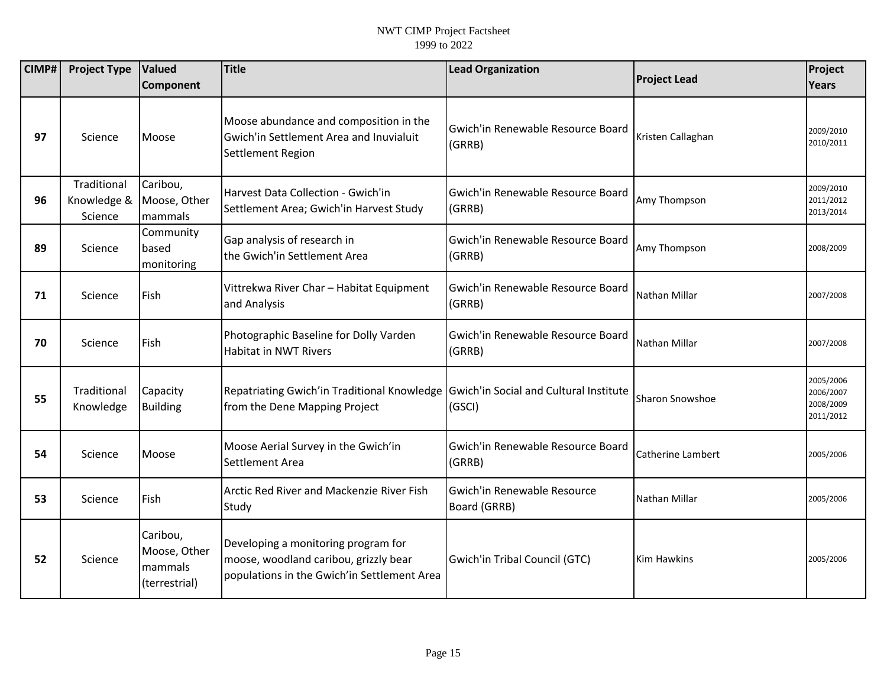| <b>CIMP#</b> | <b>Project Type</b>                   | <b>Valued</b><br>Component                           | <b>Title</b>                                                                                                                | <b>Lead Organization</b>                    | <b>Project Lead</b> | Project<br>Years                                 |
|--------------|---------------------------------------|------------------------------------------------------|-----------------------------------------------------------------------------------------------------------------------------|---------------------------------------------|---------------------|--------------------------------------------------|
|              |                                       |                                                      |                                                                                                                             |                                             |                     |                                                  |
| 97           | Science                               | Moose                                                | Moose abundance and composition in the<br>Gwich'in Settlement Area and Inuvialuit<br>Settlement Region                      | Gwich'in Renewable Resource Board<br>(GRRB) | Kristen Callaghan   | 2009/2010<br>2010/2011                           |
| 96           | Traditional<br>Knowledge &<br>Science | Caribou,<br>Moose, Other<br>mammals                  | Harvest Data Collection - Gwich'in<br>Settlement Area; Gwich'in Harvest Study                                               | Gwich'in Renewable Resource Board<br>(GRRB) | Amy Thompson        | 2009/2010<br>2011/2012<br>2013/2014              |
| 89           | Science                               | Community<br>based<br>monitoring                     | Gap analysis of research in<br>the Gwich'in Settlement Area                                                                 | Gwich'in Renewable Resource Board<br>(GRRB) | Amy Thompson        | 2008/2009                                        |
| 71           | Science                               | Fish                                                 | Vittrekwa River Char - Habitat Equipment<br>and Analysis                                                                    | Gwich'in Renewable Resource Board<br>(GRRB) | Nathan Millar       | 2007/2008                                        |
| 70           | Science                               | Fish                                                 | Photographic Baseline for Dolly Varden<br><b>Habitat in NWT Rivers</b>                                                      | Gwich'in Renewable Resource Board<br>(GRRB) | Nathan Millar       | 2007/2008                                        |
| 55           | Traditional<br>Knowledge              | Capacity<br><b>Building</b>                          | Repatriating Gwich'in Traditional Knowledge   Gwich'in Social and Cultural Institute<br>from the Dene Mapping Project       | (GSCI)                                      | Sharon Snowshoe     | 2005/2006<br>2006/2007<br>2008/2009<br>2011/2012 |
| 54           | Science                               | Moose                                                | Moose Aerial Survey in the Gwich'in<br>Settlement Area                                                                      | Gwich'in Renewable Resource Board<br>(GRRB) | Catherine Lambert   | 2005/2006                                        |
| 53           | Science                               | Fish                                                 | Arctic Red River and Mackenzie River Fish<br>Study                                                                          | Gwich'in Renewable Resource<br>Board (GRRB) | Nathan Millar       | 2005/2006                                        |
| 52           | Science                               | Caribou,<br>Moose, Other<br>mammals<br>(terrestrial) | Developing a monitoring program for<br>moose, woodland caribou, grizzly bear<br>populations in the Gwich'in Settlement Area | Gwich'in Tribal Council (GTC)               | Kim Hawkins         | 2005/2006                                        |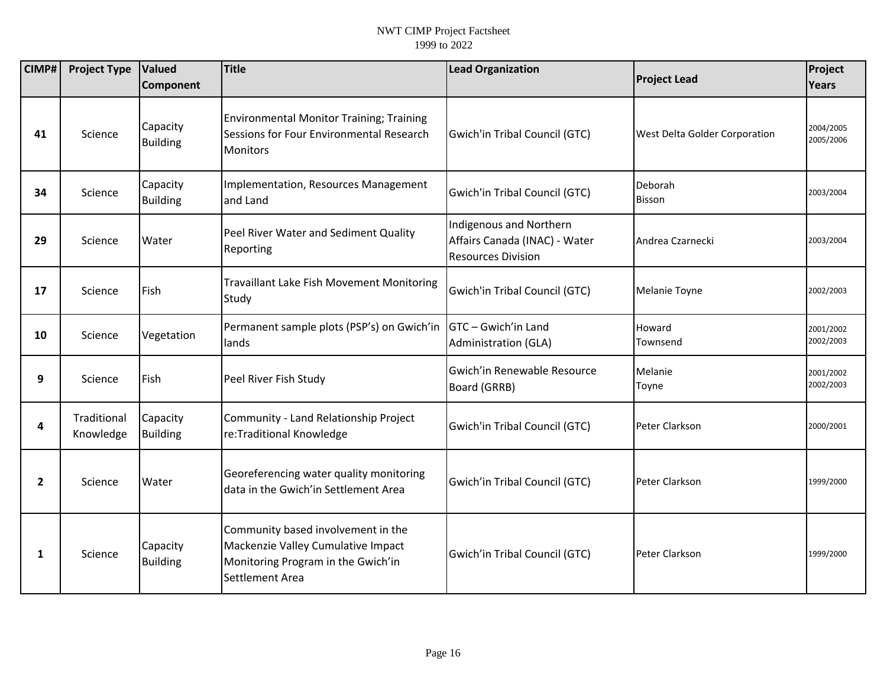| CIMP#          | <b>Project Type</b>      | Valued<br>Component         | <b>Title</b>                                                                                                                      | <b>Lead Organization</b>                                                              | <b>Project Lead</b>           | Project<br>Years       |
|----------------|--------------------------|-----------------------------|-----------------------------------------------------------------------------------------------------------------------------------|---------------------------------------------------------------------------------------|-------------------------------|------------------------|
| 41             | Science                  | Capacity<br><b>Building</b> | <b>Environmental Monitor Training; Training</b><br>Sessions for Four Environmental Research<br><b>Monitors</b>                    | Gwich'in Tribal Council (GTC)                                                         | West Delta Golder Corporation | 2004/2005<br>2005/2006 |
| 34             | Science                  | Capacity<br><b>Building</b> | Implementation, Resources Management<br>and Land                                                                                  | Gwich'in Tribal Council (GTC)                                                         | Deborah<br><b>Bisson</b>      | 2003/2004              |
| 29             | Science                  | Water                       | Peel River Water and Sediment Quality<br>Reporting                                                                                | Indigenous and Northern<br>Affairs Canada (INAC) - Water<br><b>Resources Division</b> | Andrea Czarnecki              | 2003/2004              |
| 17             | Science                  | Fish                        | <b>Travaillant Lake Fish Movement Monitoring</b><br>Study                                                                         | Gwich'in Tribal Council (GTC)                                                         | Melanie Toyne                 | 2002/2003              |
| 10             | Science                  | Vegetation                  | Permanent sample plots (PSP's) on Gwich'in<br>lands                                                                               | GTC - Gwich'in Land<br>Administration (GLA)                                           | Howard<br>Townsend            | 2001/2002<br>2002/2003 |
| 9              | Science                  | Fish                        | Peel River Fish Study                                                                                                             | Gwich'in Renewable Resource<br>Board (GRRB)                                           | Melanie<br>Toyne              | 2001/2002<br>2002/2003 |
| 4              | Traditional<br>Knowledge | Capacity<br><b>Building</b> | Community - Land Relationship Project<br>re:Traditional Knowledge                                                                 | Gwich'in Tribal Council (GTC)                                                         | Peter Clarkson                | 2000/2001              |
| $\overline{2}$ | Science                  | Water                       | Georeferencing water quality monitoring<br>data in the Gwich'in Settlement Area                                                   | Gwich'in Tribal Council (GTC)                                                         | Peter Clarkson                | 1999/2000              |
| $\mathbf{1}$   | Science                  | Capacity<br><b>Building</b> | Community based involvement in the<br>Mackenzie Valley Cumulative Impact<br>Monitoring Program in the Gwich'in<br>Settlement Area | Gwich'in Tribal Council (GTC)                                                         | Peter Clarkson                | 1999/2000              |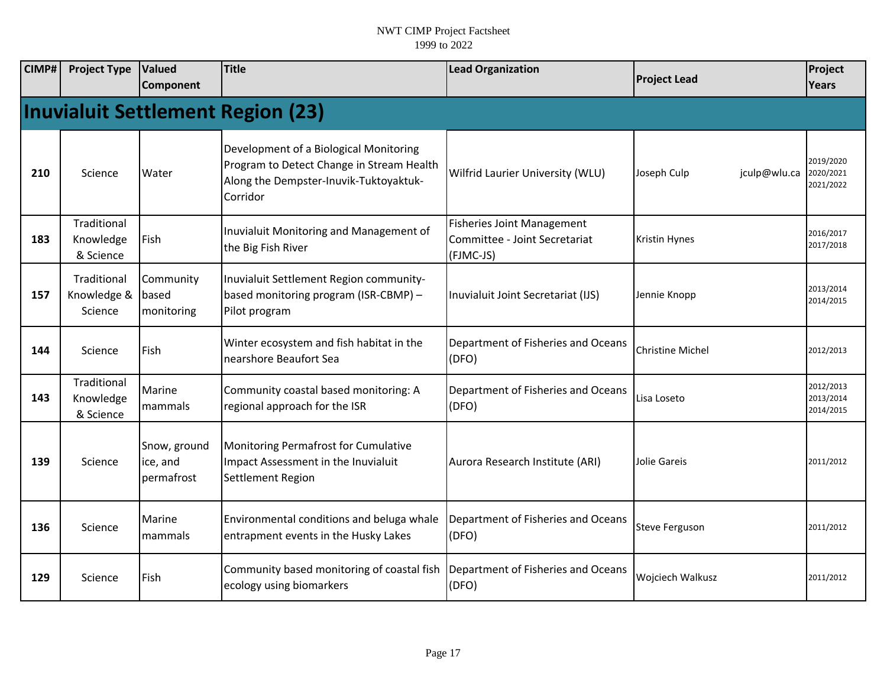| <b>CIMP#</b> | <b>Project Type</b>                      | Valued<br><b>Component</b>             | Title                                                                                                                                     | <b>Lead Organization</b>                                                        | <b>Project Lead</b>         | Project<br><b>Years</b>             |  |  |  |
|--------------|------------------------------------------|----------------------------------------|-------------------------------------------------------------------------------------------------------------------------------------------|---------------------------------------------------------------------------------|-----------------------------|-------------------------------------|--|--|--|
|              | <b>Inuvialuit Settlement Region (23)</b> |                                        |                                                                                                                                           |                                                                                 |                             |                                     |  |  |  |
| 210          | Science                                  | Water                                  | Development of a Biological Monitoring<br>Program to Detect Change in Stream Health<br>Along the Dempster-Inuvik-Tuktoyaktuk-<br>Corridor | Wilfrid Laurier University (WLU)                                                | Joseph Culp<br>jculp@wlu.ca | 2019/2020<br>2020/2021<br>2021/2022 |  |  |  |
| 183          | Traditional<br>Knowledge<br>& Science    | Fish                                   | Inuvialuit Monitoring and Management of<br>the Big Fish River                                                                             | <b>Fisheries Joint Management</b><br>Committee - Joint Secretariat<br>(FJMC-JS) | <b>Kristin Hynes</b>        | 2016/2017<br>2017/2018              |  |  |  |
| 157          | Traditional<br>Knowledge &<br>Science    | Community<br>based<br>monitoring       | Inuvialuit Settlement Region community-<br>based monitoring program (ISR-CBMP) -<br>Pilot program                                         | Inuvialuit Joint Secretariat (IJS)                                              | Jennie Knopp                | 2013/2014<br>2014/2015              |  |  |  |
| 144          | Science                                  | Fish                                   | Winter ecosystem and fish habitat in the<br>nearshore Beaufort Sea                                                                        | Department of Fisheries and Oceans<br>(DFO)                                     | <b>Christine Michel</b>     | 2012/2013                           |  |  |  |
| 143          | Traditional<br>Knowledge<br>& Science    | Marine<br>mammals                      | Community coastal based monitoring: A<br>regional approach for the ISR                                                                    | Department of Fisheries and Oceans<br>(DFO)                                     | Lisa Loseto                 | 2012/2013<br>2013/2014<br>2014/2015 |  |  |  |
| 139          | Science                                  | Snow, ground<br>ice, and<br>permafrost | Monitoring Permafrost for Cumulative<br>Impact Assessment in the Inuvialuit<br>Settlement Region                                          | Aurora Research Institute (ARI)                                                 | Jolie Gareis                | 2011/2012                           |  |  |  |
| 136          | Science                                  | Marine<br>mammals                      | Environmental conditions and beluga whale<br>entrapment events in the Husky Lakes                                                         | Department of Fisheries and Oceans<br>(DFO)                                     | <b>Steve Ferguson</b>       | 2011/2012                           |  |  |  |
| 129          | Science                                  | Fish                                   | Community based monitoring of coastal fish<br>ecology using biomarkers                                                                    | Department of Fisheries and Oceans<br>(DFO)                                     | Wojciech Walkusz            | 2011/2012                           |  |  |  |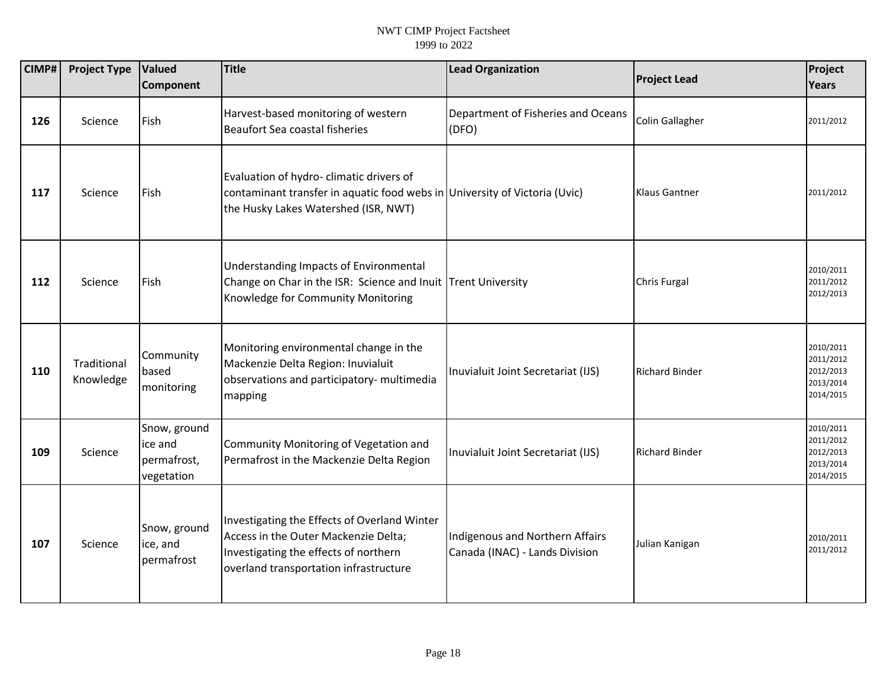| CIMP# | <b>Project Type</b>      | Valued<br><b>Component</b>                           | <b>Title</b>                                                                                                                                                            | <b>Lead Organization</b>                                          | <b>Project Lead</b>   | Project<br><b>Years</b>                                       |
|-------|--------------------------|------------------------------------------------------|-------------------------------------------------------------------------------------------------------------------------------------------------------------------------|-------------------------------------------------------------------|-----------------------|---------------------------------------------------------------|
| 126   | Science                  | Fish                                                 | Harvest-based monitoring of western<br><b>Beaufort Sea coastal fisheries</b>                                                                                            | Department of Fisheries and Oceans<br>(DFO)                       | Colin Gallagher       | 2011/2012                                                     |
| 117   | Science                  | Fish                                                 | Evaluation of hydro- climatic drivers of<br>contaminant transfer in aquatic food webs in University of Victoria (Uvic)<br>the Husky Lakes Watershed (ISR, NWT)          |                                                                   | <b>Klaus Gantner</b>  | 2011/2012                                                     |
| 112   | Science                  | <b>Fish</b>                                          | Understanding Impacts of Environmental<br>Change on Char in the ISR: Science and Inuit Trent University<br>Knowledge for Community Monitoring                           |                                                                   | <b>Chris Furgal</b>   | 2010/2011<br>2011/2012<br>2012/2013                           |
| 110   | Traditional<br>Knowledge | Community<br>based<br>monitoring                     | Monitoring environmental change in the<br>Mackenzie Delta Region: Inuvialuit<br>observations and participatory- multimedia<br>mapping                                   | Inuvialuit Joint Secretariat (IJS)                                | <b>Richard Binder</b> | 2010/2011<br>2011/2012<br>2012/2013<br>2013/2014<br>2014/2015 |
| 109   | Science                  | Snow, ground<br>ice and<br>permafrost,<br>vegetation | Community Monitoring of Vegetation and<br>Permafrost in the Mackenzie Delta Region                                                                                      | Inuvialuit Joint Secretariat (IJS)                                | <b>Richard Binder</b> | 2010/2011<br>2011/2012<br>2012/2013<br>2013/2014<br>2014/2015 |
| 107   | Science                  | Snow, ground<br>ice, and<br>permafrost               | Investigating the Effects of Overland Winter<br>Access in the Outer Mackenzie Delta;<br>Investigating the effects of northern<br>overland transportation infrastructure | Indigenous and Northern Affairs<br>Canada (INAC) - Lands Division | Julian Kanigan        | 2010/2011<br>2011/2012                                        |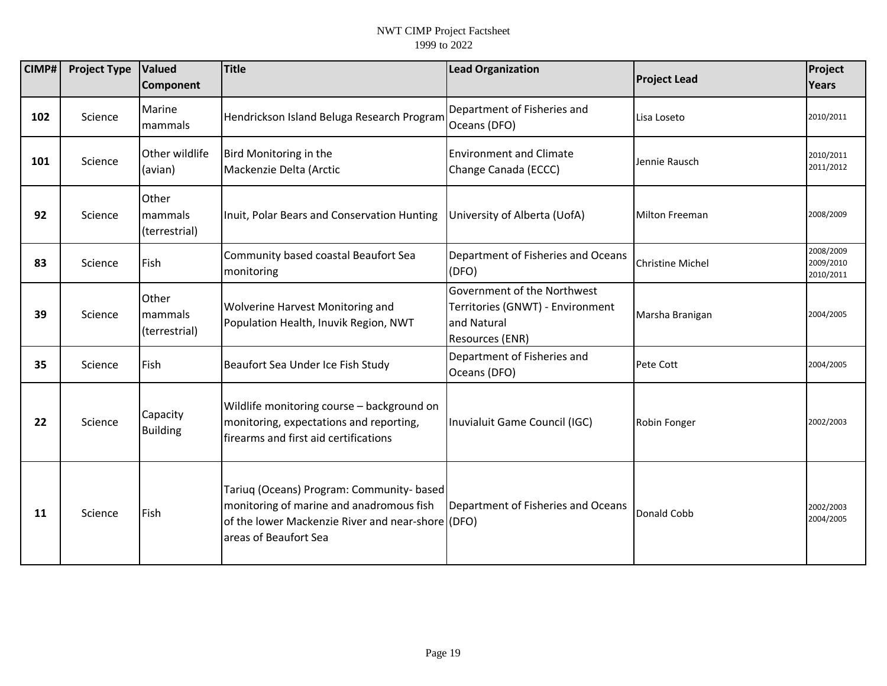| CIMP# | <b>Project Type</b> | Valued<br><b>Component</b>        | <b>Title</b>                                                                                                                                                        | <b>Lead Organization</b>                                                                          | <b>Project Lead</b>     | Project<br>Years                    |
|-------|---------------------|-----------------------------------|---------------------------------------------------------------------------------------------------------------------------------------------------------------------|---------------------------------------------------------------------------------------------------|-------------------------|-------------------------------------|
| 102   | Science             | Marine<br>mammals                 | Hendrickson Island Beluga Research Program                                                                                                                          | Department of Fisheries and<br>Oceans (DFO)                                                       | Lisa Loseto             | 2010/2011                           |
| 101   | Science             | Other wildlife<br>(avian)         | Bird Monitoring in the<br>Mackenzie Delta (Arctic                                                                                                                   | <b>Environment and Climate</b><br>Change Canada (ECCC)                                            | Jennie Rausch           | 2010/2011<br>2011/2012              |
| 92    | Science             | Other<br>mammals<br>(terrestrial) | Inuit, Polar Bears and Conservation Hunting                                                                                                                         | University of Alberta (UofA)                                                                      | <b>Milton Freeman</b>   | 2008/2009                           |
| 83    | Science             | Fish                              | Community based coastal Beaufort Sea<br>monitoring                                                                                                                  | Department of Fisheries and Oceans<br>(DFO)                                                       | <b>Christine Michel</b> | 2008/2009<br>2009/2010<br>2010/2011 |
| 39    | Science             | Other<br>mammals<br>(terrestrial) | Wolverine Harvest Monitoring and<br>Population Health, Inuvik Region, NWT                                                                                           | Government of the Northwest<br>Territories (GNWT) - Environment<br>and Natural<br>Resources (ENR) | Marsha Branigan         | 2004/2005                           |
| 35    | Science             | Fish                              | Beaufort Sea Under Ice Fish Study                                                                                                                                   | Department of Fisheries and<br>Oceans (DFO)                                                       | Pete Cott               | 2004/2005                           |
| 22    | Science             | Capacity<br><b>Building</b>       | Wildlife monitoring course - background on<br>monitoring, expectations and reporting,<br>firearms and first aid certifications                                      | Inuvialuit Game Council (IGC)                                                                     | Robin Fonger            | 2002/2003                           |
| 11    | Science             | Fish                              | Tariuq (Oceans) Program: Community- based<br>monitoring of marine and anadromous fish<br>of the lower Mackenzie River and near-shore (DFO)<br>areas of Beaufort Sea | Department of Fisheries and Oceans                                                                | Donald Cobb             | 2002/2003<br>2004/2005              |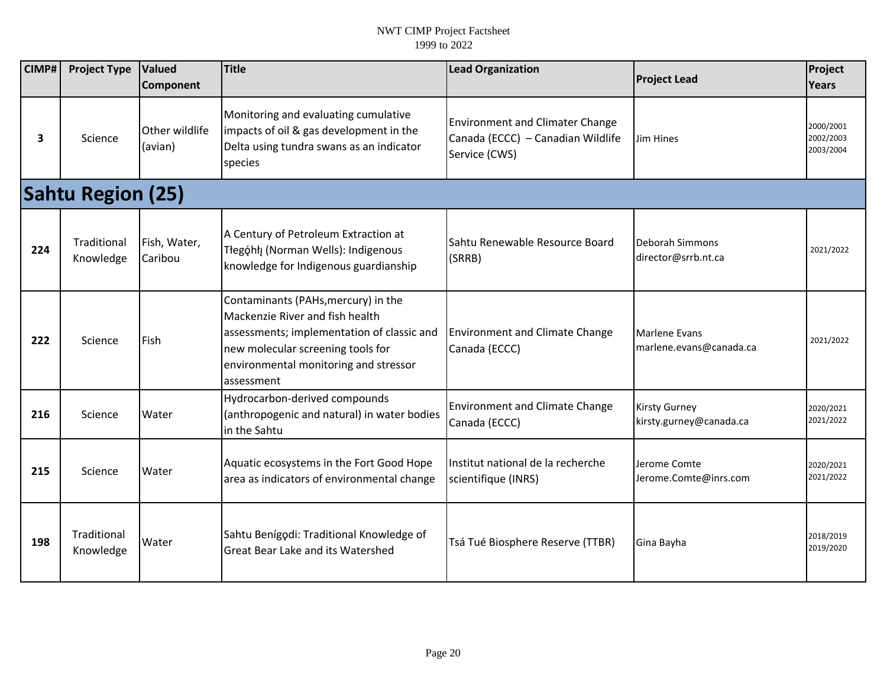| CIMP# | <b>Project Type</b>      | Valued<br>Component       | <b>Title</b>                                                                                                                                                                                                     | <b>Lead Organization</b>                                                                     | <b>Project Lead</b>                             | Project<br>Years                    |
|-------|--------------------------|---------------------------|------------------------------------------------------------------------------------------------------------------------------------------------------------------------------------------------------------------|----------------------------------------------------------------------------------------------|-------------------------------------------------|-------------------------------------|
| 3     | Science                  | Other wildlife<br>(avian) | Monitoring and evaluating cumulative<br>impacts of oil & gas development in the<br>Delta using tundra swans as an indicator<br>species                                                                           | <b>Environment and Climater Change</b><br>Canada (ECCC) - Canadian Wildlife<br>Service (CWS) | Jim Hines                                       | 2000/2001<br>2002/2003<br>2003/2004 |
|       | <b>Sahtu Region (25)</b> |                           |                                                                                                                                                                                                                  |                                                                                              |                                                 |                                     |
| 224   | Traditional<br>Knowledge | Fish, Water,<br>Caribou   | A Century of Petroleum Extraction at<br>Tłegóhłį (Norman Wells): Indigenous<br>knowledge for Indigenous guardianship                                                                                             | Sahtu Renewable Resource Board<br>(SRRB)                                                     | Deborah Simmons<br>director@srrb.nt.ca          | 2021/2022                           |
| 222   | Science                  | <b>Fish</b>               | Contaminants (PAHs, mercury) in the<br>Mackenzie River and fish health<br>assessments; implementation of classic and<br>new molecular screening tools for<br>environmental monitoring and stressor<br>assessment | <b>Environment and Climate Change</b><br>Canada (ECCC)                                       | <b>Marlene Evans</b><br>marlene.evans@canada.ca | 2021/2022                           |
| 216   | Science                  | Water                     | Hydrocarbon-derived compounds<br>(anthropogenic and natural) in water bodies<br>in the Sahtu                                                                                                                     | <b>Environment and Climate Change</b><br>Canada (ECCC)                                       | <b>Kirsty Gurney</b><br>kirsty.gurney@canada.ca | 2020/2021<br>2021/2022              |
| 215   | Science                  | Water                     | Aquatic ecosystems in the Fort Good Hope<br>area as indicators of environmental change                                                                                                                           | Institut national de la recherche<br>scientifique (INRS)                                     | Jerome Comte<br>Jerome.Comte@inrs.com           | 2020/2021<br>2021/2022              |
| 198   | Traditional<br>Knowledge | Water                     | Sahtu Benígodi: Traditional Knowledge of<br>Great Bear Lake and its Watershed                                                                                                                                    | Tsá Tué Biosphere Reserve (TTBR)                                                             | Gina Bayha                                      | 2018/2019<br>2019/2020              |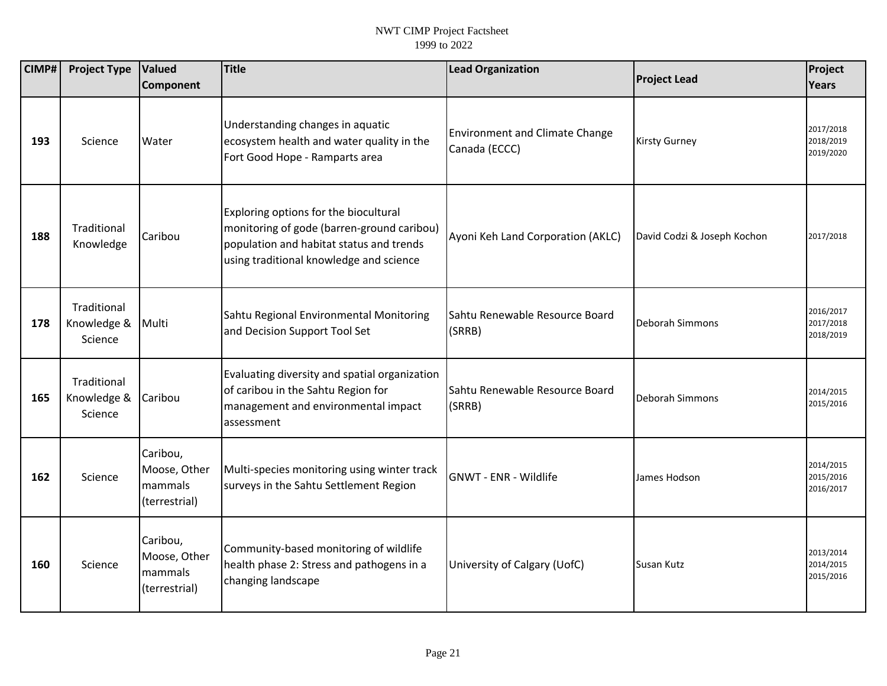| CIMP# | <b>Project Type</b>                   | <b>Valued</b><br>Component                           | Title                                                                                                                                                                      | <b>Lead Organization</b>                               | <b>Project Lead</b>         | Project<br>Years                    |
|-------|---------------------------------------|------------------------------------------------------|----------------------------------------------------------------------------------------------------------------------------------------------------------------------------|--------------------------------------------------------|-----------------------------|-------------------------------------|
| 193   | Science                               | Water                                                | Understanding changes in aquatic<br>ecosystem health and water quality in the<br>Fort Good Hope - Ramparts area                                                            | <b>Environment and Climate Change</b><br>Canada (ECCC) | <b>Kirsty Gurney</b>        | 2017/2018<br>2018/2019<br>2019/2020 |
| 188   | Traditional<br>Knowledge              | Caribou                                              | Exploring options for the biocultural<br>monitoring of gode (barren-ground caribou)<br>population and habitat status and trends<br>using traditional knowledge and science | Ayoni Keh Land Corporation (AKLC)                      | David Codzi & Joseph Kochon | 2017/2018                           |
| 178   | Traditional<br>Knowledge &<br>Science | Multi                                                | Sahtu Regional Environmental Monitoring<br>and Decision Support Tool Set                                                                                                   | Sahtu Renewable Resource Board<br>(SRRB)               | Deborah Simmons             | 2016/2017<br>2017/2018<br>2018/2019 |
| 165   | Traditional<br>Knowledge &<br>Science | Caribou                                              | Evaluating diversity and spatial organization<br>of caribou in the Sahtu Region for<br>management and environmental impact<br>assessment                                   | Sahtu Renewable Resource Board<br>(SRRB)               | Deborah Simmons             | 2014/2015<br>2015/2016              |
| 162   | Science                               | Caribou,<br>Moose, Other<br>mammals<br>(terrestrial) | Multi-species monitoring using winter track<br>surveys in the Sahtu Settlement Region                                                                                      | GNWT - ENR - Wildlife                                  | James Hodson                | 2014/2015<br>2015/2016<br>2016/2017 |
| 160   | Science                               | Caribou,<br>Moose, Other<br>mammals<br>(terrestrial) | Community-based monitoring of wildlife<br>health phase 2: Stress and pathogens in a<br>changing landscape                                                                  | University of Calgary (UofC)                           | Susan Kutz                  | 2013/2014<br>2014/2015<br>2015/2016 |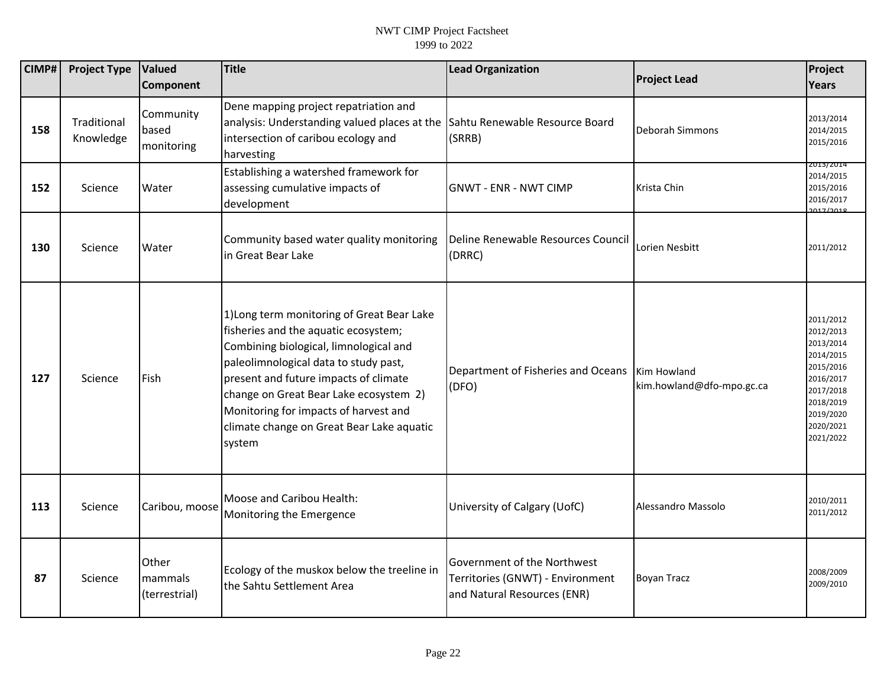| CIMP# | <b>Project Type</b>      | Valued<br><b>Component</b>        | <b>Title</b>                                                                                                                                                                                                                                                                                                                                             | <b>Lead Organization</b>                                                                       | <b>Project Lead</b>                      | Project<br><b>Years</b>                                                                                                                     |
|-------|--------------------------|-----------------------------------|----------------------------------------------------------------------------------------------------------------------------------------------------------------------------------------------------------------------------------------------------------------------------------------------------------------------------------------------------------|------------------------------------------------------------------------------------------------|------------------------------------------|---------------------------------------------------------------------------------------------------------------------------------------------|
| 158   | Traditional<br>Knowledge | Community<br>based<br>monitoring  | Dene mapping project repatriation and<br>analysis: Understanding valued places at the<br>intersection of caribou ecology and<br>harvesting                                                                                                                                                                                                               | Sahtu Renewable Resource Board<br>(SRRB)                                                       | Deborah Simmons                          | 2013/2014<br>2014/2015<br>2015/2016                                                                                                         |
| 152   | Science                  | Water                             | Establishing a watershed framework for<br>assessing cumulative impacts of<br>development                                                                                                                                                                                                                                                                 | <b>GNWT - ENR - NWT CIMP</b>                                                                   | Krista Chin                              | 2013/2014<br>2014/2015<br>2015/2016<br>2016/2017<br>0.17/0.19                                                                               |
| 130   | Science                  | Water                             | Community based water quality monitoring<br>in Great Bear Lake                                                                                                                                                                                                                                                                                           | Deline Renewable Resources Council<br>(DRRC)                                                   | Lorien Nesbitt                           | 2011/2012                                                                                                                                   |
| 127   | Science                  | Fish                              | 1) Long term monitoring of Great Bear Lake<br>fisheries and the aquatic ecosystem;<br>Combining biological, limnological and<br>paleolimnological data to study past,<br>present and future impacts of climate<br>change on Great Bear Lake ecosystem 2)<br>Monitoring for impacts of harvest and<br>climate change on Great Bear Lake aquatic<br>system | Department of Fisheries and Oceans<br>(DFO)                                                    | Kim Howland<br>kim.howland@dfo-mpo.gc.ca | 2011/2012<br>2012/2013<br>2013/2014<br>2014/2015<br>2015/2016<br>2016/2017<br>2017/2018<br>2018/2019<br>2019/2020<br>2020/2021<br>2021/2022 |
| 113   | Science                  | Caribou, moose                    | Moose and Caribou Health:<br>Monitoring the Emergence                                                                                                                                                                                                                                                                                                    | University of Calgary (UofC)                                                                   | Alessandro Massolo                       | 2010/2011<br>2011/2012                                                                                                                      |
| 87    | Science                  | Other<br>mammals<br>(terrestrial) | Ecology of the muskox below the treeline in<br>the Sahtu Settlement Area                                                                                                                                                                                                                                                                                 | Government of the Northwest<br>Territories (GNWT) - Environment<br>and Natural Resources (ENR) | <b>Boyan Tracz</b>                       | 2008/2009<br>2009/2010                                                                                                                      |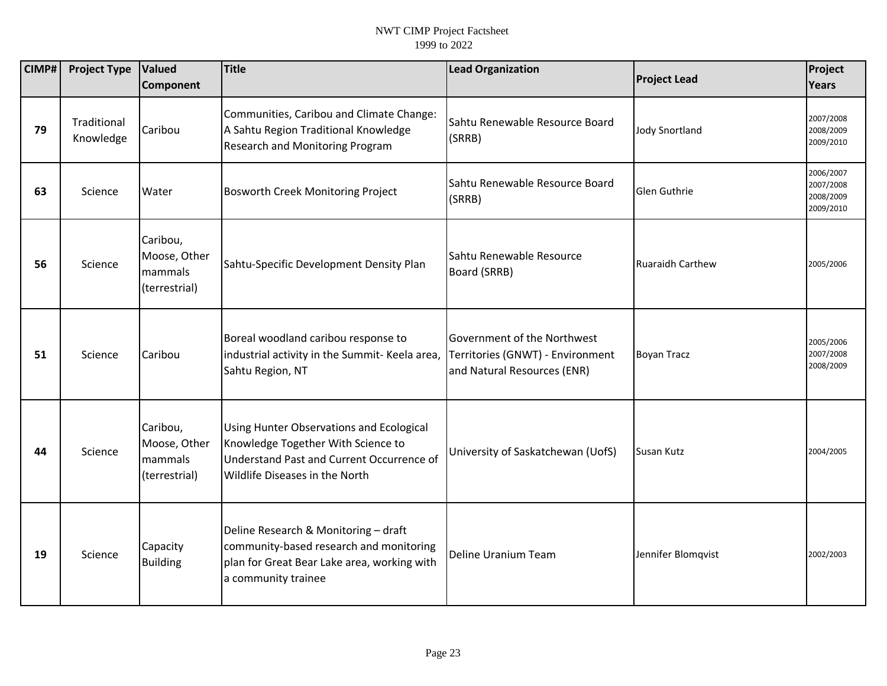| CIMP# | <b>Project Type</b>      | <b>Valued</b><br>Component                           | Title                                                                                                                                                                | <b>Lead Organization</b>                                                                       | <b>Project Lead</b>     | Project<br><b>Years</b>                          |
|-------|--------------------------|------------------------------------------------------|----------------------------------------------------------------------------------------------------------------------------------------------------------------------|------------------------------------------------------------------------------------------------|-------------------------|--------------------------------------------------|
| 79    | Traditional<br>Knowledge | Caribou                                              | Communities, Caribou and Climate Change:<br>A Sahtu Region Traditional Knowledge<br><b>Research and Monitoring Program</b>                                           | Sahtu Renewable Resource Board<br>(SRRB)                                                       | <b>Jody Snortland</b>   | 2007/2008<br>2008/2009<br>2009/2010              |
| 63    | Science                  | Water                                                | Bosworth Creek Monitoring Project                                                                                                                                    | Sahtu Renewable Resource Board<br>(SRRB)                                                       | Glen Guthrie            | 2006/2007<br>2007/2008<br>2008/2009<br>2009/2010 |
| 56    | Science                  | Caribou,<br>Moose, Other<br>mammals<br>(terrestrial) | Sahtu-Specific Development Density Plan                                                                                                                              | Sahtu Renewable Resource<br>Board (SRRB)                                                       | <b>Ruaraidh Carthew</b> | 2005/2006                                        |
| 51    | Science                  | Caribou                                              | Boreal woodland caribou response to<br>industrial activity in the Summit- Keela area,<br>Sahtu Region, NT                                                            | Government of the Northwest<br>Territories (GNWT) - Environment<br>and Natural Resources (ENR) | <b>Boyan Tracz</b>      | 2005/2006<br>2007/2008<br>2008/2009              |
| 44    | Science                  | Caribou,<br>Moose, Other<br>mammals<br>(terrestrial) | <b>Using Hunter Observations and Ecological</b><br>Knowledge Together With Science to<br>Understand Past and Current Occurrence of<br>Wildlife Diseases in the North | University of Saskatchewan (UofS)                                                              | Susan Kutz              | 2004/2005                                        |
| 19    | Science                  | Capacity<br><b>Building</b>                          | Deline Research & Monitoring - draft<br>community-based research and monitoring<br>plan for Great Bear Lake area, working with<br>a community trainee                | Deline Uranium Team                                                                            | Jennifer Blomqvist      | 2002/2003                                        |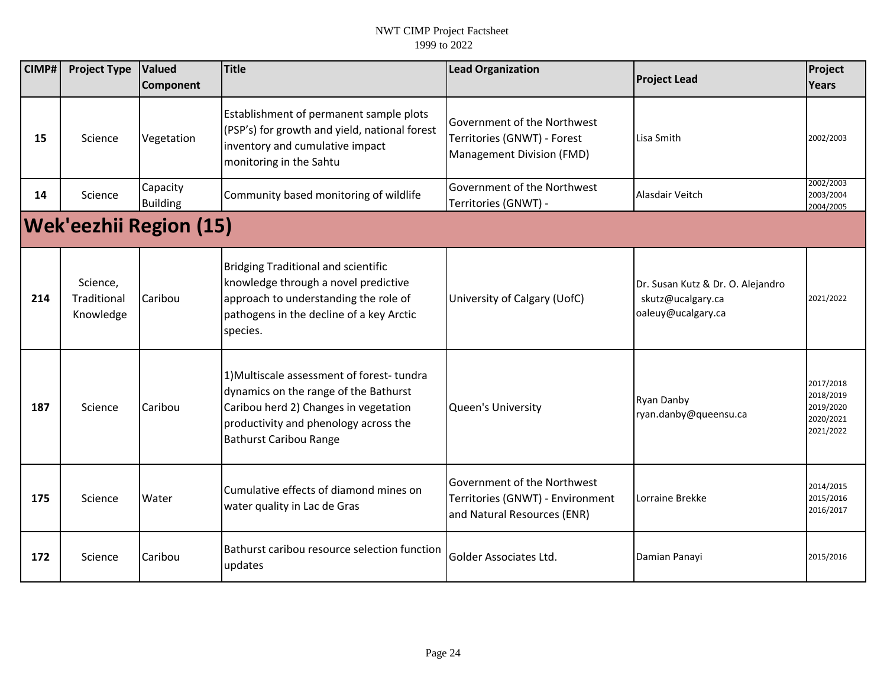| CIMP# | <b>Project Type</b>                  | <b>Valued</b><br>Component    | <b>Title</b>                                                                                                                                                                                          | <b>Lead Organization</b>                                                                       | <b>Project Lead</b>                                                          | Project<br><b>Years</b>                                       |
|-------|--------------------------------------|-------------------------------|-------------------------------------------------------------------------------------------------------------------------------------------------------------------------------------------------------|------------------------------------------------------------------------------------------------|------------------------------------------------------------------------------|---------------------------------------------------------------|
| 15    | Science                              | Vegetation                    | Establishment of permanent sample plots<br>(PSP's) for growth and yield, national forest<br>inventory and cumulative impact<br>monitoring in the Sahtu                                                | Government of the Northwest<br>Territories (GNWT) - Forest<br>Management Division (FMD)        | Lisa Smith                                                                   | 2002/2003                                                     |
| 14    | Science                              | Capacity<br><b>Building</b>   | Community based monitoring of wildlife                                                                                                                                                                | Government of the Northwest<br>Territories (GNWT) -                                            | Alasdair Veitch                                                              | 2002/2003<br>2003/2004<br>2004/2005                           |
|       |                                      | <b>Wek'eezhii Region (15)</b> |                                                                                                                                                                                                       |                                                                                                |                                                                              |                                                               |
| 214   | Science,<br>Traditional<br>Knowledge | Caribou                       | <b>Bridging Traditional and scientific</b><br>knowledge through a novel predictive<br>approach to understanding the role of<br>pathogens in the decline of a key Arctic<br>species.                   | University of Calgary (UofC)                                                                   | Dr. Susan Kutz & Dr. O. Alejandro<br>skutz@ucalgary.ca<br>oaleuy@ucalgary.ca | 2021/2022                                                     |
| 187   | Science                              | Caribou                       | 1) Multiscale assessment of forest-tundra<br>dynamics on the range of the Bathurst<br>Caribou herd 2) Changes in vegetation<br>productivity and phenology across the<br><b>Bathurst Caribou Range</b> | <b>Queen's University</b>                                                                      | Ryan Danby<br>ryan.danby@queensu.ca                                          | 2017/2018<br>2018/2019<br>2019/2020<br>2020/2021<br>2021/2022 |
| 175   | Science                              | Water                         | Cumulative effects of diamond mines on<br>water quality in Lac de Gras                                                                                                                                | Government of the Northwest<br>Territories (GNWT) - Environment<br>and Natural Resources (ENR) | Lorraine Brekke                                                              | 2014/2015<br>2015/2016<br>2016/2017                           |
| 172   | Science                              | Caribou                       | Bathurst caribou resource selection function<br>updates                                                                                                                                               | Golder Associates Ltd.                                                                         | Damian Panayi                                                                | 2015/2016                                                     |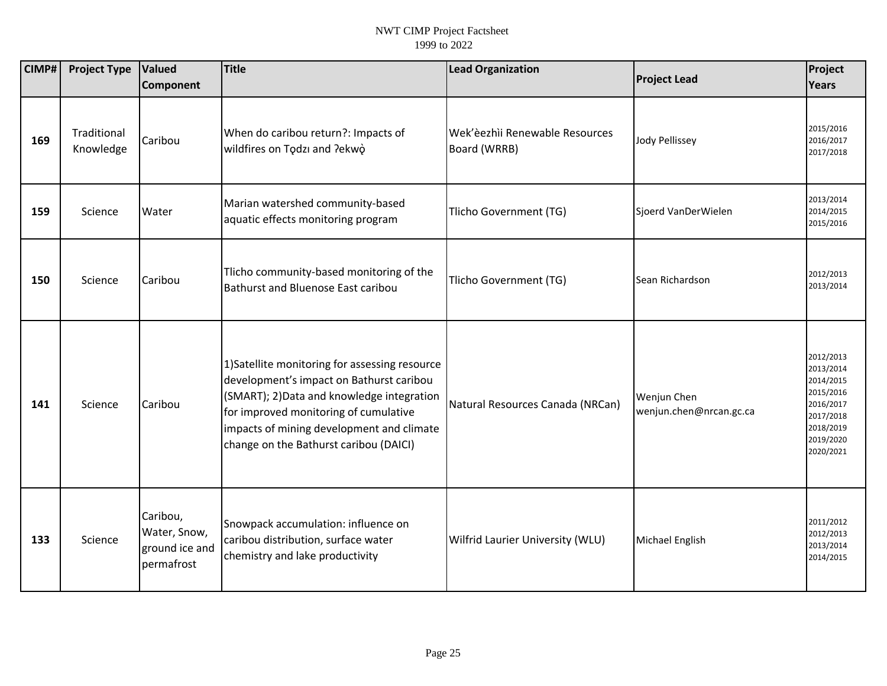| CIMP# | <b>Project Type</b>      | Valued<br>Component                                      | Title                                                                                                                                                                                                                                                                    | <b>Lead Organization</b>                       | <b>Project Lead</b>                    | Project<br>Years                                                                                                  |
|-------|--------------------------|----------------------------------------------------------|--------------------------------------------------------------------------------------------------------------------------------------------------------------------------------------------------------------------------------------------------------------------------|------------------------------------------------|----------------------------------------|-------------------------------------------------------------------------------------------------------------------|
| 169   | Traditional<br>Knowledge | Caribou                                                  | When do caribou return?: Impacts of<br>wildfires on Todzi and ?ekwo                                                                                                                                                                                                      | Wek'èezhìi Renewable Resources<br>Board (WRRB) | <b>Jody Pellissey</b>                  | 2015/2016<br>2016/2017<br>2017/2018                                                                               |
| 159   | Science                  | Water                                                    | Marian watershed community-based<br>aquatic effects monitoring program                                                                                                                                                                                                   | Tlicho Government (TG)                         | Sjoerd VanDerWielen                    | 2013/2014<br>2014/2015<br>2015/2016                                                                               |
| 150   | Science                  | Caribou                                                  | Tlicho community-based monitoring of the<br>Bathurst and Bluenose East caribou                                                                                                                                                                                           | Tlicho Government (TG)                         | Sean Richardson                        | 2012/2013<br>2013/2014                                                                                            |
| 141   | Science                  | Caribou                                                  | 1) Satellite monitoring for assessing resource<br>development's impact on Bathurst caribou<br>(SMART); 2) Data and knowledge integration<br>for improved monitoring of cumulative<br>impacts of mining development and climate<br>change on the Bathurst caribou (DAICI) | Natural Resources Canada (NRCan)               | Wenjun Chen<br>wenjun.chen@nrcan.gc.ca | 2012/2013<br>2013/2014<br>2014/2015<br>2015/2016<br>2016/2017<br>2017/2018<br>2018/2019<br>2019/2020<br>2020/2021 |
| 133   | Science                  | Caribou,<br>Water, Snow,<br>ground ice and<br>permafrost | Snowpack accumulation: influence on<br>caribou distribution, surface water<br>chemistry and lake productivity                                                                                                                                                            | Wilfrid Laurier University (WLU)               | Michael English                        | 2011/2012<br>2012/2013<br>2013/2014<br>2014/2015                                                                  |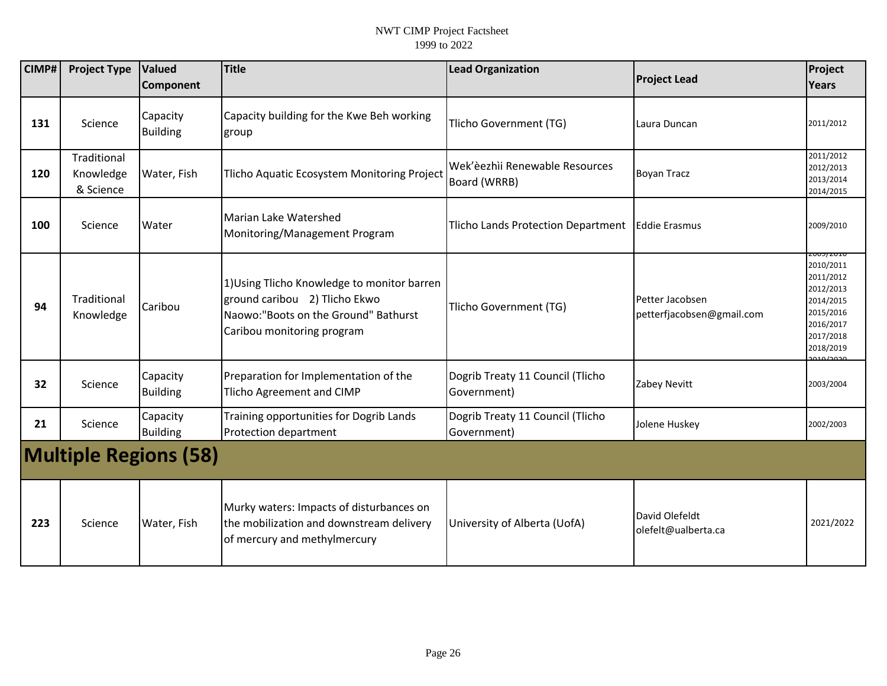| CIMP# | <b>Project Type</b>                   | Valued                       | <b>Title</b>                                                                                                                                        | <b>Lead Organization</b>                        | <b>Project Lead</b>                          | Project                                                                                                                    |
|-------|---------------------------------------|------------------------------|-----------------------------------------------------------------------------------------------------------------------------------------------------|-------------------------------------------------|----------------------------------------------|----------------------------------------------------------------------------------------------------------------------------|
|       |                                       | Component                    |                                                                                                                                                     |                                                 |                                              | Years                                                                                                                      |
| 131   | Science                               | Capacity<br><b>Building</b>  | Capacity building for the Kwe Beh working<br>group                                                                                                  | Tlicho Government (TG)                          | Laura Duncan                                 | 2011/2012                                                                                                                  |
| 120   | Traditional<br>Knowledge<br>& Science | Water, Fish                  | Tlicho Aquatic Ecosystem Monitoring Project                                                                                                         | Wek'èezhìi Renewable Resources<br>Board (WRRB)  | <b>Boyan Tracz</b>                           | 2011/2012<br>2012/2013<br>2013/2014<br>2014/2015                                                                           |
| 100   | Science                               | Water                        | Marian Lake Watershed<br>Monitoring/Management Program                                                                                              | Tlicho Lands Protection Department              | <b>Eddie Erasmus</b>                         | 2009/2010                                                                                                                  |
| 94    | Traditional<br>Knowledge              | Caribou                      | 1) Using Tlicho Knowledge to monitor barren<br>ground caribou 2) Tlicho Ekwo<br>Naowo: "Boots on the Ground" Bathurst<br>Caribou monitoring program | Tlicho Government (TG)                          | Petter Jacobsen<br>petterfjacobsen@gmail.com | 200 <i>3 </i> ΖΟΙΙ<br>2010/2011<br>2011/2012<br>2012/2013<br>2014/2015<br>2015/2016<br>2016/2017<br>2017/2018<br>2018/2019 |
| 32    | Science                               | Capacity<br><b>Building</b>  | Preparation for Implementation of the<br><b>Tlicho Agreement and CIMP</b>                                                                           | Dogrib Treaty 11 Council (Tlicho<br>Government) | Zabey Nevitt                                 | 2003/2004                                                                                                                  |
| 21    | Science                               | Capacity<br><b>Building</b>  | Training opportunities for Dogrib Lands<br>Protection department                                                                                    | Dogrib Treaty 11 Council (Tlicho<br>Government) | Jolene Huskey                                | 2002/2003                                                                                                                  |
|       |                                       | <b>Multiple Regions (58)</b> |                                                                                                                                                     |                                                 |                                              |                                                                                                                            |
| 223   | Science                               | Water, Fish                  | Murky waters: Impacts of disturbances on<br>the mobilization and downstream delivery<br>of mercury and methylmercury                                | University of Alberta (UofA)                    | David Olefeldt<br>olefelt@ualberta.ca        | 2021/2022                                                                                                                  |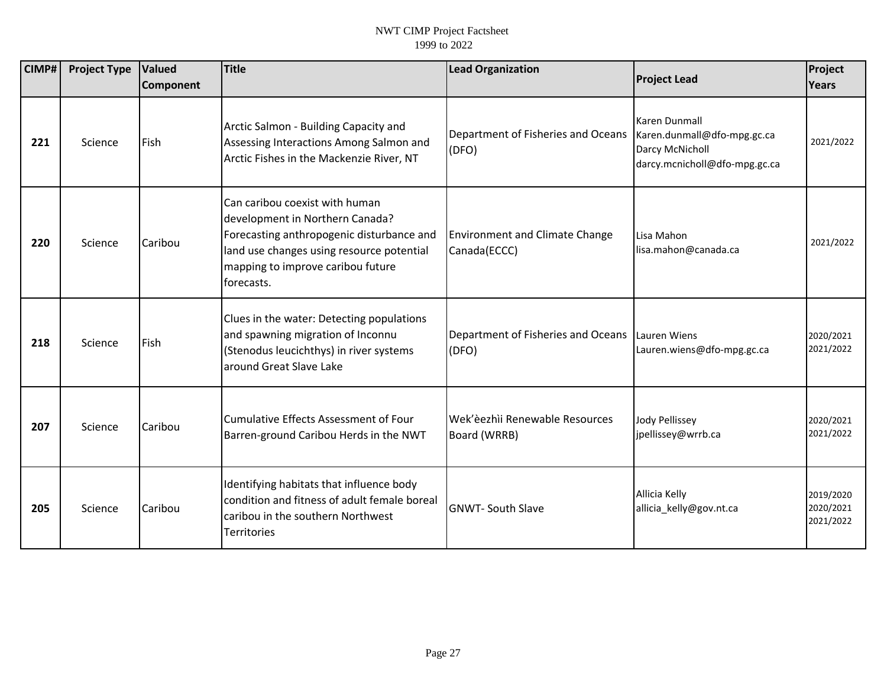| <b>CIMP#</b> | <b>Project Type</b> | <b>Valued</b><br><b>Component</b> | <b>Title</b>                                                                                                                                                                                                   | <b>Lead Organization</b>                                   | <b>Project Lead</b>                                                                              | Project<br>Years                    |
|--------------|---------------------|-----------------------------------|----------------------------------------------------------------------------------------------------------------------------------------------------------------------------------------------------------------|------------------------------------------------------------|--------------------------------------------------------------------------------------------------|-------------------------------------|
| 221          | Science             | Fish                              | Arctic Salmon - Building Capacity and<br>Assessing Interactions Among Salmon and<br>Arctic Fishes in the Mackenzie River, NT                                                                                   | Department of Fisheries and Oceans<br>(DFO)                | Karen Dunmall<br>Karen.dunmall@dfo-mpg.gc.ca<br>Darcy McNicholl<br>darcy.mcnicholl@dfo-mpg.gc.ca | 2021/2022                           |
| 220          | Science             | Caribou                           | Can caribou coexist with human<br>development in Northern Canada?<br>Forecasting anthropogenic disturbance and<br>land use changes using resource potential<br>mapping to improve caribou future<br>forecasts. | <b>Environment and Climate Change</b><br>Canada(ECCC)      | Lisa Mahon<br>lisa.mahon@canada.ca                                                               | 2021/2022                           |
| 218          | Science             | Fish                              | Clues in the water: Detecting populations<br>and spawning migration of Inconnu<br>(Stenodus leucichthys) in river systems<br>around Great Slave Lake                                                           | Department of Fisheries and Oceans   Lauren Wiens<br>(DFO) | Lauren.wiens@dfo-mpg.gc.ca                                                                       | 2020/2021<br>2021/2022              |
| 207          | Science             | Caribou                           | Cumulative Effects Assessment of Four<br>Barren-ground Caribou Herds in the NWT                                                                                                                                | Wek'èezhìi Renewable Resources<br>Board (WRRB)             | <b>Jody Pellissey</b><br>jpellissey@wrrb.ca                                                      | 2020/2021<br>2021/2022              |
| 205          | Science             | Caribou                           | Identifying habitats that influence body<br>condition and fitness of adult female boreal<br>caribou in the southern Northwest<br><b>Territories</b>                                                            | <b>GNWT-South Slave</b>                                    | Allicia Kelly<br>allicia_kelly@gov.nt.ca                                                         | 2019/2020<br>2020/2021<br>2021/2022 |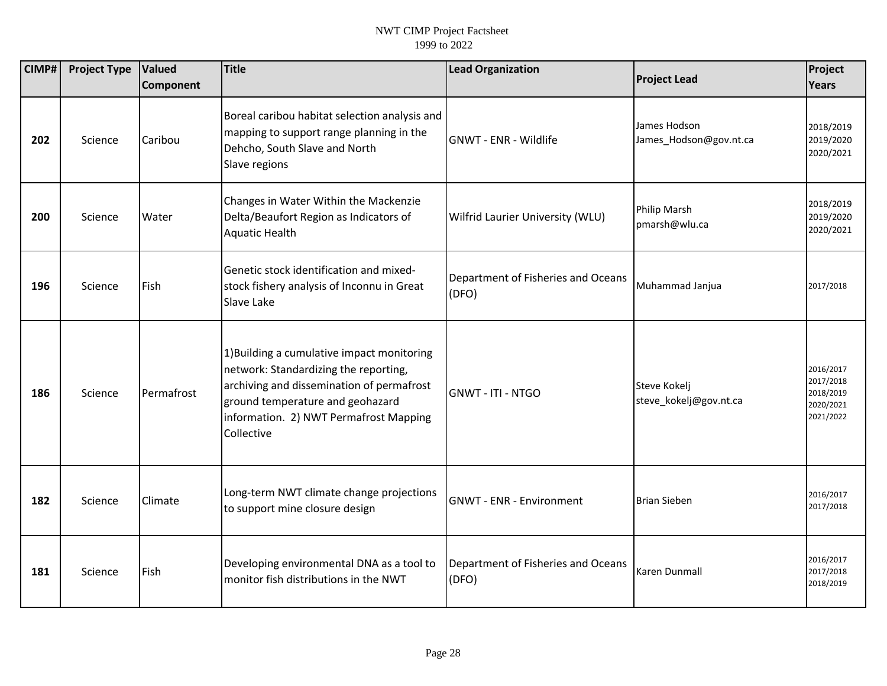| CIMP# | <b>Project Type</b> | Valued<br>Component | <b>Title</b>                                                                                                                                                                                                                 | <b>Lead Organization</b>                    | <b>Project Lead</b>                    | Project<br>Years                                              |
|-------|---------------------|---------------------|------------------------------------------------------------------------------------------------------------------------------------------------------------------------------------------------------------------------------|---------------------------------------------|----------------------------------------|---------------------------------------------------------------|
| 202   | Science             | Caribou             | Boreal caribou habitat selection analysis and<br>mapping to support range planning in the<br>Dehcho, South Slave and North<br>Slave regions                                                                                  | <b>GNWT - ENR - Wildlife</b>                | James Hodson<br>James_Hodson@gov.nt.ca | 2018/2019<br>2019/2020<br>2020/2021                           |
| 200   | Science             | Water               | Changes in Water Within the Mackenzie<br>Delta/Beaufort Region as Indicators of<br><b>Aquatic Health</b>                                                                                                                     | Wilfrid Laurier University (WLU)            | Philip Marsh<br>pmarsh@wlu.ca          | 2018/2019<br>2019/2020<br>2020/2021                           |
| 196   | Science             | Fish                | Genetic stock identification and mixed-<br>stock fishery analysis of Inconnu in Great<br>Slave Lake                                                                                                                          | Department of Fisheries and Oceans<br>(DFO) | Muhammad Janjua                        | 2017/2018                                                     |
| 186   | Science             | Permafrost          | 1) Building a cumulative impact monitoring<br>network: Standardizing the reporting,<br>archiving and dissemination of permafrost<br>ground temperature and geohazard<br>information. 2) NWT Permafrost Mapping<br>Collective | <b>GNWT - ITI - NTGO</b>                    | Steve Kokelj<br>steve_kokelj@gov.nt.ca | 2016/2017<br>2017/2018<br>2018/2019<br>2020/2021<br>2021/2022 |
| 182   | Science             | Climate             | Long-term NWT climate change projections<br>to support mine closure design                                                                                                                                                   | <b>GNWT - ENR - Environment</b>             | <b>Brian Sieben</b>                    | 2016/2017<br>2017/2018                                        |
| 181   | Science             | Fish                | Developing environmental DNA as a tool to<br>monitor fish distributions in the NWT                                                                                                                                           | Department of Fisheries and Oceans<br>(DFO) | Karen Dunmall                          | 2016/2017<br>2017/2018<br>2018/2019                           |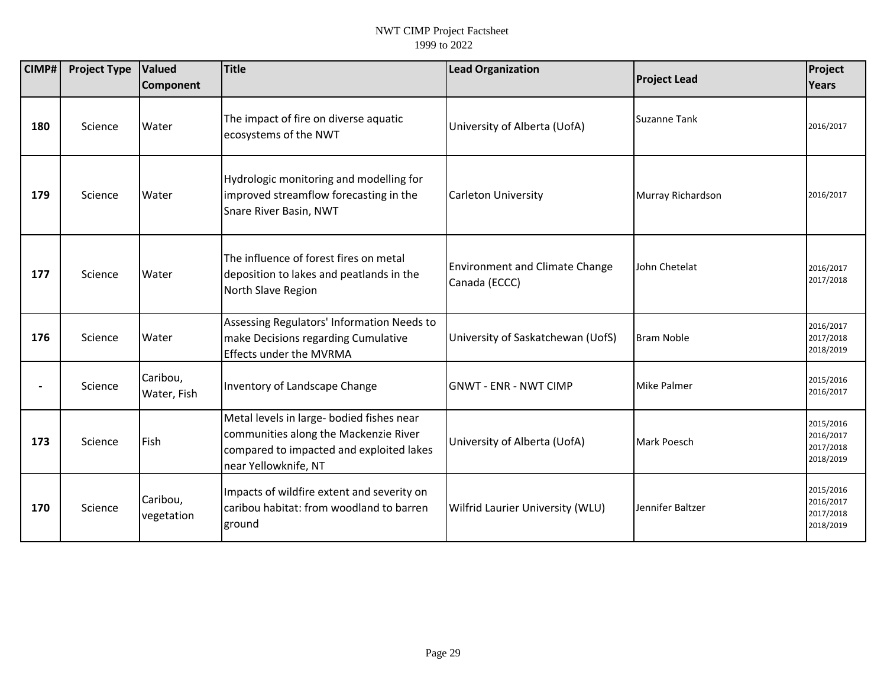| CIMP# | <b>Project Type</b> | Valued<br><b>Component</b> | <b>Title</b>                                                                                                                                           | <b>Lead Organization</b>                               | <b>Project Lead</b> | Project<br><b>Years</b>                          |
|-------|---------------------|----------------------------|--------------------------------------------------------------------------------------------------------------------------------------------------------|--------------------------------------------------------|---------------------|--------------------------------------------------|
| 180   | Science             | Water                      | The impact of fire on diverse aquatic<br>ecosystems of the NWT                                                                                         | University of Alberta (UofA)                           | <b>Suzanne Tank</b> | 2016/2017                                        |
| 179   | Science             | Water                      | Hydrologic monitoring and modelling for<br>improved streamflow forecasting in the<br>Snare River Basin, NWT                                            | <b>Carleton University</b>                             | Murray Richardson   | 2016/2017                                        |
| 177   | Science             | Water                      | The influence of forest fires on metal<br>deposition to lakes and peatlands in the<br>North Slave Region                                               | <b>Environment and Climate Change</b><br>Canada (ECCC) | John Chetelat       | 2016/2017<br>2017/2018                           |
| 176   | Science             | Water                      | Assessing Regulators' Information Needs to<br>make Decisions regarding Cumulative<br><b>Effects under the MVRMA</b>                                    | University of Saskatchewan (UofS)                      | <b>Bram Noble</b>   | 2016/2017<br>2017/2018<br>2018/2019              |
|       | Science             | Caribou,<br>Water, Fish    | Inventory of Landscape Change                                                                                                                          | <b>GNWT - ENR - NWT CIMP</b>                           | <b>Mike Palmer</b>  | 2015/2016<br>2016/2017                           |
| 173   | Science             | Fish                       | Metal levels in large- bodied fishes near<br>communities along the Mackenzie River<br>compared to impacted and exploited lakes<br>near Yellowknife, NT | University of Alberta (UofA)                           | Mark Poesch         | 2015/2016<br>2016/2017<br>2017/2018<br>2018/2019 |
| 170   | Science             | Caribou,<br>vegetation     | Impacts of wildfire extent and severity on<br>caribou habitat: from woodland to barren<br>ground                                                       | Wilfrid Laurier University (WLU)                       | Jennifer Baltzer    | 2015/2016<br>2016/2017<br>2017/2018<br>2018/2019 |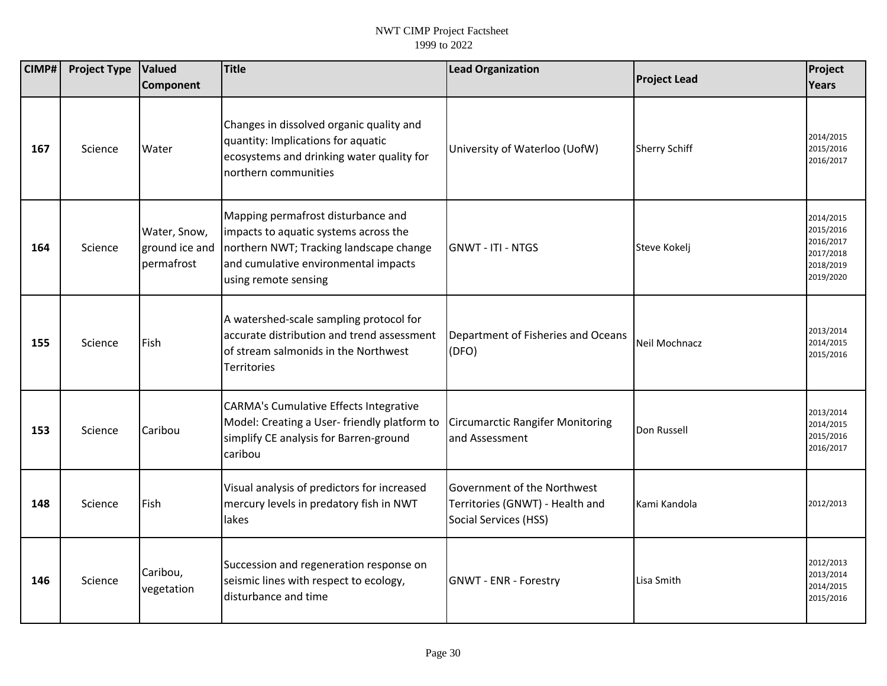| CIMP# | <b>Project Type</b> | <b>Valued</b><br>Component                   | Title                                                                                                                                                                                  | <b>Lead Organization</b>                                                                | <b>Project Lead</b>  | Project<br>Years                                                           |
|-------|---------------------|----------------------------------------------|----------------------------------------------------------------------------------------------------------------------------------------------------------------------------------------|-----------------------------------------------------------------------------------------|----------------------|----------------------------------------------------------------------------|
|       |                     |                                              |                                                                                                                                                                                        |                                                                                         |                      |                                                                            |
| 167   | Science             | Water                                        | Changes in dissolved organic quality and<br>quantity: Implications for aquatic<br>ecosystems and drinking water quality for<br>northern communities                                    | University of Waterloo (UofW)                                                           | <b>Sherry Schiff</b> | 2014/2015<br>2015/2016<br>2016/2017                                        |
| 164   | Science             | Water, Snow,<br>ground ice and<br>permafrost | Mapping permafrost disturbance and<br>impacts to aquatic systems across the<br>northern NWT; Tracking landscape change<br>and cumulative environmental impacts<br>using remote sensing | <b>GNWT - ITI - NTGS</b>                                                                | Steve Kokelj         | 2014/2015<br>2015/2016<br>2016/2017<br>2017/2018<br>2018/2019<br>2019/2020 |
| 155   | Science             | Fish                                         | A watershed-scale sampling protocol for<br>accurate distribution and trend assessment<br>of stream salmonids in the Northwest<br>Territories                                           | Department of Fisheries and Oceans<br>(DFO)                                             | Neil Mochnacz        | 2013/2014<br>2014/2015<br>2015/2016                                        |
| 153   | Science             | Caribou                                      | <b>CARMA's Cumulative Effects Integrative</b><br>Model: Creating a User-friendly platform to<br>simplify CE analysis for Barren-ground<br>caribou                                      | <b>Circumarctic Rangifer Monitoring</b><br>and Assessment                               | Don Russell          | 2013/2014<br>2014/2015<br>2015/2016<br>2016/2017                           |
| 148   | Science             | Fish                                         | Visual analysis of predictors for increased<br>mercury levels in predatory fish in NWT<br>lakes                                                                                        | Government of the Northwest<br>Territories (GNWT) - Health and<br>Social Services (HSS) | Kami Kandola         | 2012/2013                                                                  |
| 146   | Science             | Caribou,<br>vegetation                       | Succession and regeneration response on<br>seismic lines with respect to ecology,<br>disturbance and time                                                                              | <b>GNWT - ENR - Forestry</b>                                                            | Lisa Smith           | 2012/2013<br>2013/2014<br>2014/2015<br>2015/2016                           |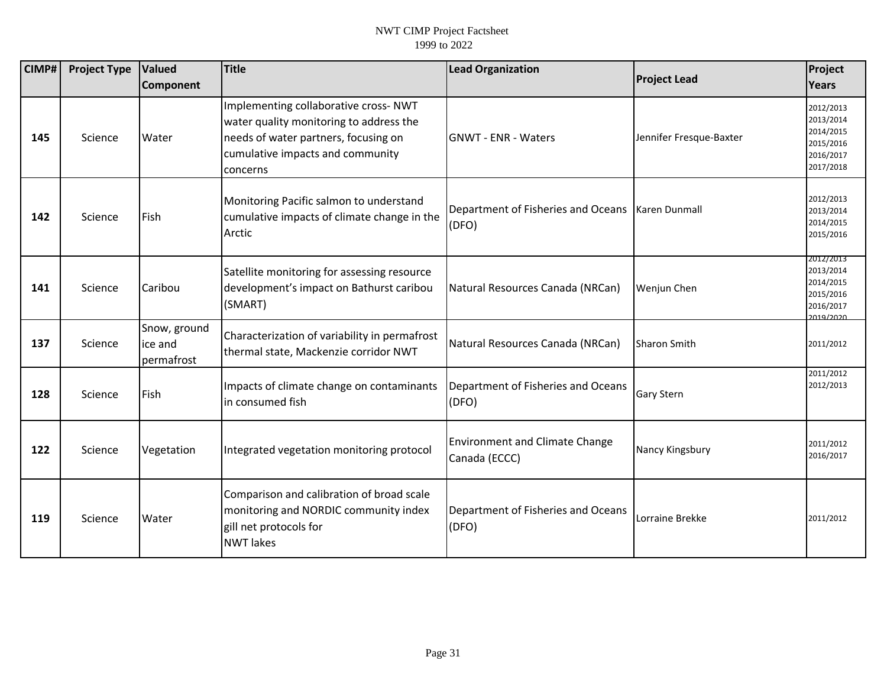| <b>CIMP#</b> | <b>Project Type</b> | Valued<br><b>Component</b>            | <b>Title</b>                                                                                                                                                             | <b>Lead Organization</b>                                    | <b>Project Lead</b>     | Project<br><b>Years</b>                                                    |
|--------------|---------------------|---------------------------------------|--------------------------------------------------------------------------------------------------------------------------------------------------------------------------|-------------------------------------------------------------|-------------------------|----------------------------------------------------------------------------|
| 145          | Science             | Water                                 | Implementing collaborative cross- NWT<br>water quality monitoring to address the<br>needs of water partners, focusing on<br>cumulative impacts and community<br>concerns | <b>GNWT - ENR - Waters</b>                                  | Jennifer Fresque-Baxter | 2012/2013<br>2013/2014<br>2014/2015<br>2015/2016<br>2016/2017<br>2017/2018 |
| 142          | Science             | Fish                                  | Monitoring Pacific salmon to understand<br>cumulative impacts of climate change in the<br>Arctic                                                                         | Department of Fisheries and Oceans   Karen Dunmall<br>(DFO) |                         | 2012/2013<br>2013/2014<br>2014/2015<br>2015/2016                           |
| 141          | Science             | Caribou                               | Satellite monitoring for assessing resource<br>development's impact on Bathurst caribou<br>(SMART)                                                                       | Natural Resources Canada (NRCan)                            | <b>Wenjun Chen</b>      | 2012/2013<br>2013/2014<br>2014/2015<br>2015/2016<br>2016/2017<br>2019/2020 |
| 137          | Science             | Snow, ground<br>ice and<br>permafrost | Characterization of variability in permafrost<br>thermal state, Mackenzie corridor NWT                                                                                   | Natural Resources Canada (NRCan)                            | <b>Sharon Smith</b>     | 2011/2012                                                                  |
| 128          | Science             | Fish                                  | Impacts of climate change on contaminants<br>lin consumed fish                                                                                                           | Department of Fisheries and Oceans<br>(DFO)                 | <b>Gary Stern</b>       | 2011/2012<br>2012/2013                                                     |
| 122          | Science             | Vegetation                            | Integrated vegetation monitoring protocol                                                                                                                                | <b>Environment and Climate Change</b><br>Canada (ECCC)      | Nancy Kingsbury         | 2011/2012<br>2016/2017                                                     |
| 119          | Science             | Water                                 | Comparison and calibration of broad scale<br>monitoring and NORDIC community index<br>gill net protocols for<br><b>NWT</b> lakes                                         | Department of Fisheries and Oceans<br>(DFO)                 | Lorraine Brekke         | 2011/2012                                                                  |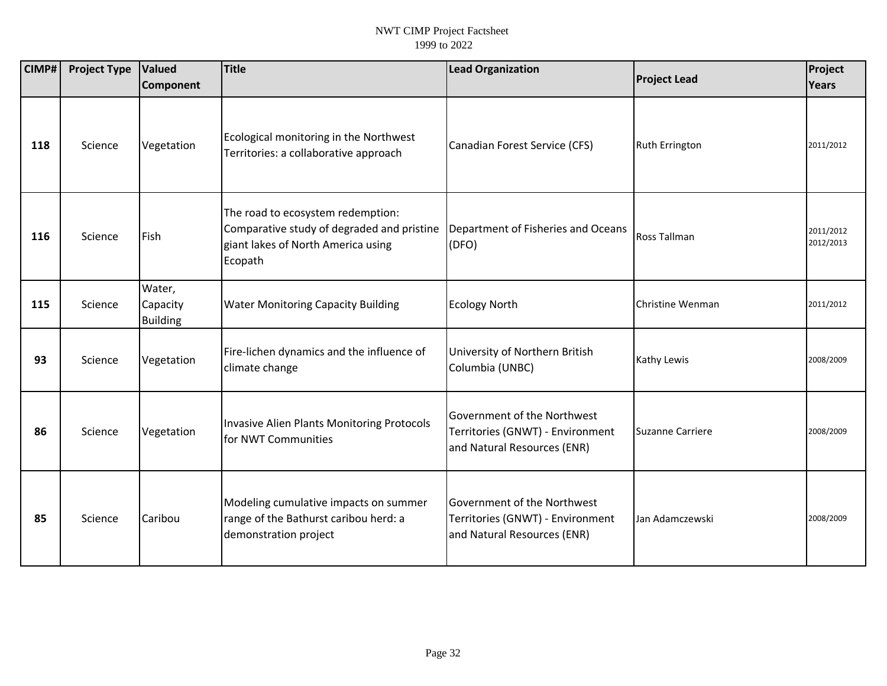| CIMP# | <b>Project Type</b> | <b>Valued</b><br>Component            | <b>Title</b>                                                                                                                     | <b>Lead Organization</b>                                                                       | <b>Project Lead</b>     | Project<br><b>Years</b> |
|-------|---------------------|---------------------------------------|----------------------------------------------------------------------------------------------------------------------------------|------------------------------------------------------------------------------------------------|-------------------------|-------------------------|
|       |                     |                                       |                                                                                                                                  |                                                                                                |                         |                         |
| 118   | Science             | Vegetation                            | Ecological monitoring in the Northwest<br>Territories: a collaborative approach                                                  | Canadian Forest Service (CFS)                                                                  | <b>Ruth Errington</b>   | 2011/2012               |
| 116   | Science             | Fish                                  | The road to ecosystem redemption:<br>Comparative study of degraded and pristine<br>giant lakes of North America using<br>Ecopath | Department of Fisheries and Oceans<br>(DFO)                                                    | Ross Tallman            | 2011/2012<br>2012/2013  |
| 115   | Science             | Water,<br>Capacity<br><b>Building</b> | <b>Water Monitoring Capacity Building</b>                                                                                        | <b>Ecology North</b>                                                                           | Christine Wenman        | 2011/2012               |
| 93    | Science             | Vegetation                            | Fire-lichen dynamics and the influence of<br>climate change                                                                      | University of Northern British<br>Columbia (UNBC)                                              | Kathy Lewis             | 2008/2009               |
| 86    | Science             | Vegetation                            | Invasive Alien Plants Monitoring Protocols<br>for NWT Communities                                                                | Government of the Northwest<br>Territories (GNWT) - Environment<br>and Natural Resources (ENR) | <b>Suzanne Carriere</b> | 2008/2009               |
| 85    | Science             | Caribou                               | Modeling cumulative impacts on summer<br>range of the Bathurst caribou herd: a<br>demonstration project                          | Government of the Northwest<br>Territories (GNWT) - Environment<br>and Natural Resources (ENR) | Jan Adamczewski         | 2008/2009               |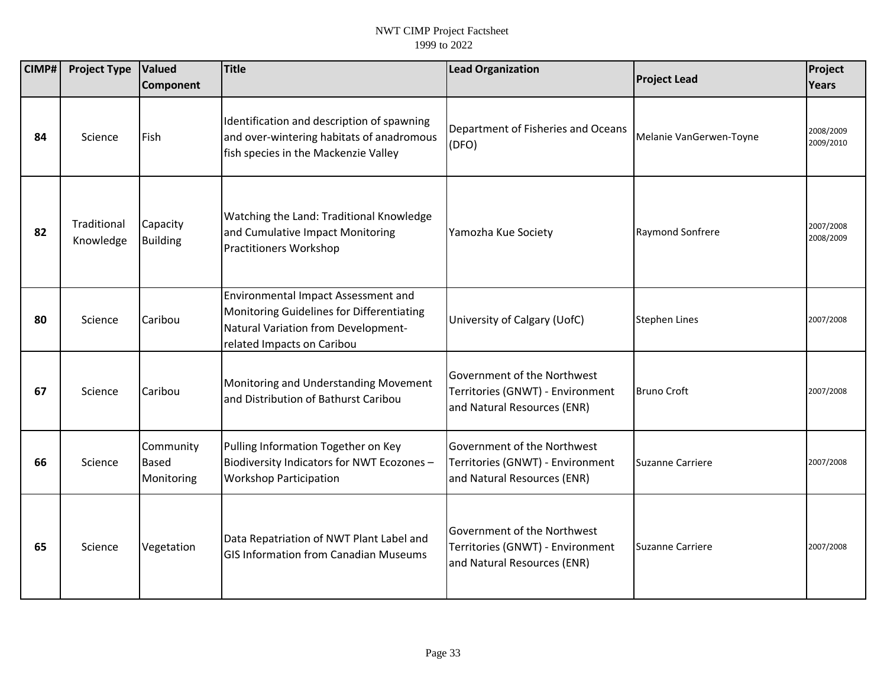| CIMP# | <b>Project Type</b>      | Valued<br><b>Component</b>              | <b>Title</b>                                                                                                                                          | <b>Lead Organization</b>                                                                       | <b>Project Lead</b>     | Project<br>Years       |
|-------|--------------------------|-----------------------------------------|-------------------------------------------------------------------------------------------------------------------------------------------------------|------------------------------------------------------------------------------------------------|-------------------------|------------------------|
| 84    | Science                  | Fish                                    | Identification and description of spawning<br>and over-wintering habitats of anadromous<br>fish species in the Mackenzie Valley                       | Department of Fisheries and Oceans<br>(DFO)                                                    | Melanie VanGerwen-Toyne | 2008/2009<br>2009/2010 |
| 82    | Traditional<br>Knowledge | Capacity<br><b>Building</b>             | Watching the Land: Traditional Knowledge<br>and Cumulative Impact Monitoring<br><b>Practitioners Workshop</b>                                         | Yamozha Kue Society                                                                            | Raymond Sonfrere        | 2007/2008<br>2008/2009 |
| 80    | Science                  | Caribou                                 | Environmental Impact Assessment and<br>Monitoring Guidelines for Differentiating<br>Natural Variation from Development-<br>related Impacts on Caribou | University of Calgary (UofC)                                                                   | <b>Stephen Lines</b>    | 2007/2008              |
| 67    | Science                  | Caribou                                 | Monitoring and Understanding Movement<br>and Distribution of Bathurst Caribou                                                                         | Government of the Northwest<br>Territories (GNWT) - Environment<br>and Natural Resources (ENR) | <b>Bruno Croft</b>      | 2007/2008              |
| 66    | Science                  | Community<br><b>Based</b><br>Monitoring | Pulling Information Together on Key<br>Biodiversity Indicators for NWT Ecozones -<br><b>Workshop Participation</b>                                    | Government of the Northwest<br>Territories (GNWT) - Environment<br>and Natural Resources (ENR) | Suzanne Carriere        | 2007/2008              |
| 65    | Science                  | Vegetation                              | Data Repatriation of NWT Plant Label and<br><b>GIS Information from Canadian Museums</b>                                                              | Government of the Northwest<br>Territories (GNWT) - Environment<br>and Natural Resources (ENR) | <b>Suzanne Carriere</b> | 2007/2008              |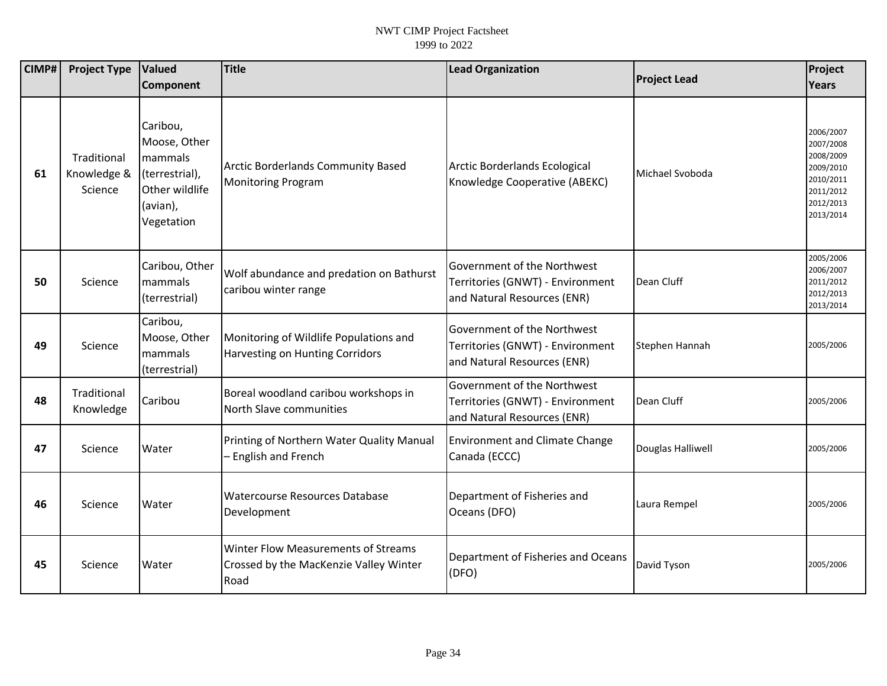| CIMP# | <b>Project Type</b>                   | <b>Valued</b>                                                                                     | <b>Title</b>                                                                          | <b>Lead Organization</b>                                                                       |                     | Project                                                                                              |
|-------|---------------------------------------|---------------------------------------------------------------------------------------------------|---------------------------------------------------------------------------------------|------------------------------------------------------------------------------------------------|---------------------|------------------------------------------------------------------------------------------------------|
|       |                                       | Component                                                                                         |                                                                                       |                                                                                                | <b>Project Lead</b> | Years                                                                                                |
| 61    | Traditional<br>Knowledge &<br>Science | Caribou,<br>Moose, Other<br>mammals<br>(terrestrial),<br>Other wildlife<br>(avian),<br>Vegetation | <b>Arctic Borderlands Community Based</b><br><b>Monitoring Program</b>                | Arctic Borderlands Ecological<br>Knowledge Cooperative (ABEKC)                                 | Michael Svoboda     | 2006/2007<br>2007/2008<br>2008/2009<br>2009/2010<br>2010/2011<br>2011/2012<br>2012/2013<br>2013/2014 |
| 50    | Science                               | Caribou, Other<br>mammals<br>(terrestrial)                                                        | Wolf abundance and predation on Bathurst<br>caribou winter range                      | Government of the Northwest<br>Territories (GNWT) - Environment<br>and Natural Resources (ENR) | Dean Cluff          | 2005/2006<br>2006/2007<br>2011/2012<br>2012/2013<br>2013/2014                                        |
| 49    | Science                               | Caribou,<br>Moose, Other<br>mammals<br>(terrestrial)                                              | Monitoring of Wildlife Populations and<br><b>Harvesting on Hunting Corridors</b>      | Government of the Northwest<br>Territories (GNWT) - Environment<br>and Natural Resources (ENR) | Stephen Hannah      | 2005/2006                                                                                            |
| 48    | Traditional<br>Knowledge              | Caribou                                                                                           | Boreal woodland caribou workshops in<br>North Slave communities                       | Government of the Northwest<br>Territories (GNWT) - Environment<br>and Natural Resources (ENR) | Dean Cluff          | 2005/2006                                                                                            |
| 47    | Science                               | Water                                                                                             | Printing of Northern Water Quality Manual<br>English and French                       | <b>Environment and Climate Change</b><br>Canada (ECCC)                                         | Douglas Halliwell   | 2005/2006                                                                                            |
| 46    | Science                               | Water                                                                                             | Watercourse Resources Database<br>Development                                         | Department of Fisheries and<br>Oceans (DFO)                                                    | Laura Rempel        | 2005/2006                                                                                            |
| 45    | Science                               | Water                                                                                             | Winter Flow Measurements of Streams<br>Crossed by the MacKenzie Valley Winter<br>Road | Department of Fisheries and Oceans<br>(DFO)                                                    | David Tyson         | 2005/2006                                                                                            |